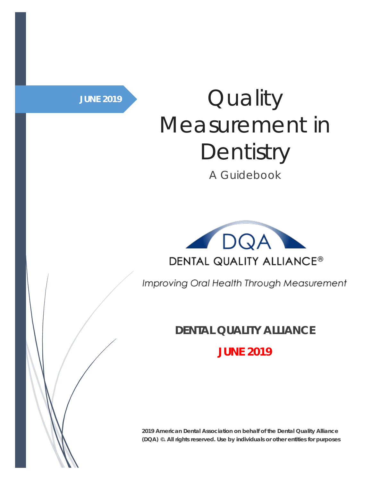# JUNE 2019 **Quality** Measurement in **Dentistry**

A Guidebook



Improving Oral Health Through Measurement

### **DENTAL QUALITY ALLIANCE**

**JUNE 2019**

**2019 American Dental Association on behalf of the Dental Quality Alliance (DQA) ©. All rights reserved. Use by individuals or other entities for purposes**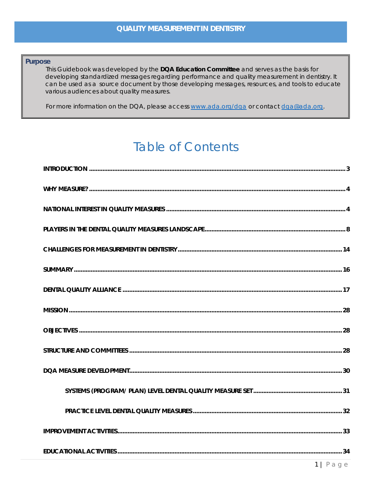#### **Purpose**

This Guidebook was developed by the DQA Education Committee and serves as the basis for developing standardized messages regarding performance and quality measurement in dentistry. It can be used as a source document by those developing messages, resources, and tools to educate various audiences about quality measures.

For more information on the DQA, please access www.ada.org/dqa or contact dqa@ada.org.

# **Table of Contents**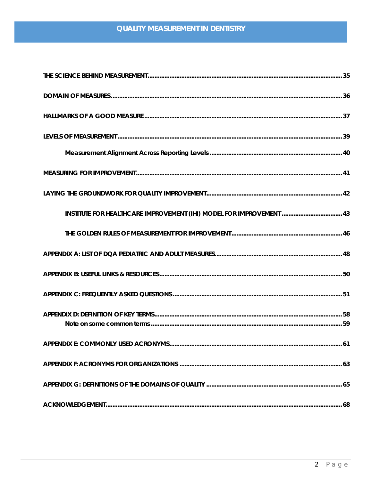| INSTITUTE FOR HEALTHCARE IMPROVEMENT (IHI) MODEL FOR IMPROVEMENT  43 |     |
|----------------------------------------------------------------------|-----|
|                                                                      |     |
|                                                                      |     |
|                                                                      |     |
|                                                                      |     |
|                                                                      |     |
| APPENDIX E: COMMONLY USED ACRONYMS                                   | -61 |
|                                                                      |     |
|                                                                      |     |
|                                                                      |     |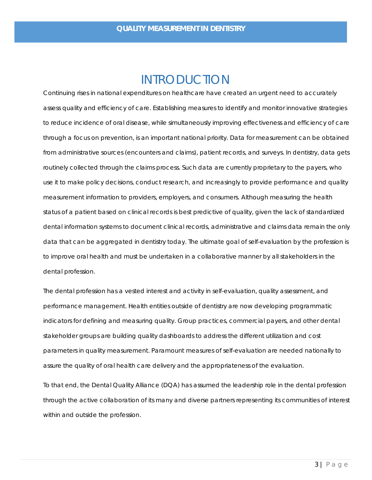### INTRODUCTION

<span id="page-3-0"></span>Continuing rises in national expenditures on healthcare have created an urgent need to accurately assess quality and efficiency of care. Establishing measures to identify and monitor innovative strategies to reduce incidence of oral disease, while simultaneously improving effectiveness and efficiency of care through a focus on prevention, is an important national priority. Data for measurement can be obtained from administrative sources (encounters and claims), patient records, and surveys. In dentistry, data gets routinely collected through the claims process. Such data are currently proprietary to the payers, who use it to make policy decisions, conduct research, and increasingly to provide performance and quality measurement information to providers, employers, and consumers. Although measuring the health status of a patient based on clinical records is best predictive of quality, given the lack of standardized dental information systems to document clinical records, administrative and claims data remain the only data that can be aggregated in dentistry today. The ultimate goal of self-evaluation by the profession is to improve oral health and must be undertaken in a collaborative manner by all stakeholders in the dental profession.

The dental profession has a vested interest and activity in self-evaluation, quality assessment, and performance management. Health entities outside of dentistry are now developing programmatic indicators for defining and measuring quality. Group practices, commercial payers, and other dental stakeholder groups are building quality dashboards to address the different utilization and cost parameters in quality measurement. Paramount measures of self-evaluation are needed nationally to assure the quality of oral health care delivery and the appropriateness of the evaluation.

To that end, the Dental Quality Alliance (DQA) has assumed the leadership role in the dental profession through the active collaboration of its many and diverse partners representing its communities of interest within and outside the profession.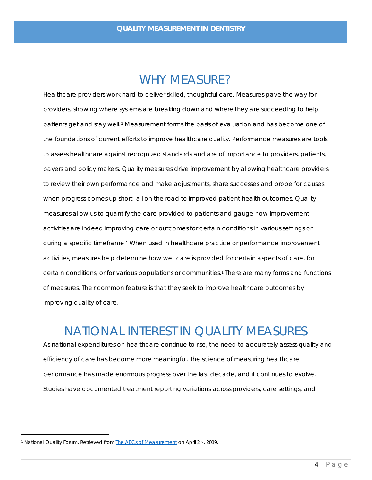### <span id="page-4-2"></span>WHY MEASURE?

<span id="page-4-0"></span>Healthcare providers work hard to deliver skilled, thoughtful care. Measures pave the way for providers, showing where systems are breaking down and where they are succeeding to help patients get and stay well.[1](#page-4-3) Measurement forms the basis of evaluation and has become one of the foundations of current efforts to improve healthcare quality. Performance measures are tools to assess healthcare against recognized standards and are of importance to providers, patients, payers and policy makers. Quality measures drive improvement by allowing healthcare providers to review their own performance and make adjustments, share successes and probe for causes when progress comes up short- all on the road to improved patient health outcomes. Quality measures allow us to quantify the care provided to patients and gauge how improvement activities are indeed improving care or outcomes for certain conditions in various settings or during a specific timeframe[.1](#page-4-2) When used in healthcare practice or performance improvement activities, measures help determine how well care is provided for certain aspects of care, for certain conditions, or for various populations or communities.<sup>1</sup> There are many forms and functions of measures. Their common feature is that they seek to improve healthcare outcomes by improving quality of care.

## NATIONAL INTEREST IN QUALITY MEASURES

<span id="page-4-1"></span>As national expenditures on healthcare continue to rise, the need to accurately assess quality and efficiency of care has become more meaningful. The science of measuring healthcare performance has made enormous progress over the last decade, and it continues to evolve. Studies have documented treatment reporting variations across providers, care settings, and

<span id="page-4-3"></span><sup>&</sup>lt;sup>1</sup> National Quality Forum. Retrieved from **The ABCs of Measurement** on April 2<sup>nd</sup>, 2019.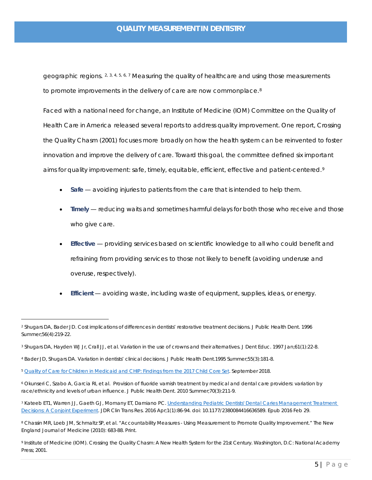geographic regions.  $2, 3, 4, 5, 6, 7$  $2, 3, 4, 5, 6, 7$  $2, 3, 4, 5, 6, 7$  $2, 3, 4, 5, 6, 7$  $2, 3, 4, 5, 6, 7$  $2, 3, 4, 5, 6, 7$  $2, 3, 4, 5, 6, 7$  $2, 3, 4, 5, 6, 7$  $2, 3, 4, 5, 6, 7$  $2, 3, 4, 5, 6, 7$  $2, 3, 4, 5, 6, 7$  Measuring the quality of healthcare and using those measurements to promote improvements in the delivery of care are now commonplace. $8<sup>8</sup>$  $8<sup>8</sup>$ 

Faced with a national need for change, an Institute of Medicine (IOM) Committee on the Quality of Health Care in America released several reports to address quality improvement. One report, *Crossing the Quality Chasm* (2001) focuses more broadly on how the health system can be reinvented to foster innovation and improve the delivery of care. Toward this goal, the committee defined six important aims for quality improvement: safe, timely, equitable, efficient, effective and patient-centered.<sup>[9](#page-5-7)</sup>

- *Safe* avoiding injuries to patients from the care that is intended to help them.
- **Timely** reducing waits and sometimes harmful delays for both those who receive and those who give care.
- *Effective* providing services based on scientific knowledge to all who could benefit and refraining from providing services to those not likely to benefit (avoiding underuse and overuse, respectively).
- *Efficient* avoiding waste, including waste of equipment, supplies, ideas, or energy.

<span id="page-5-0"></span><sup>2</sup> Shugars DA, Bader JD. Cost implications of differences in dentists' restorative treatment decisions. J Public Health Dent. 1996 Summer;56(4):219-22.

<span id="page-5-1"></span><sup>3</sup> Shugars DA, Hayden WJ Jr, Crall JJ, et al. Variation in the use of crowns and their alternatives. J Dent Educ. 1997 Jan;61(1):22-8.

<span id="page-5-2"></span><sup>4</sup> Bader JD, Shugars DA. Variation in dentists' clinical decisions. J Public Health Dent.1995 Summer;55(3):181-8.

<span id="page-5-3"></span><sup>5</sup> [Quality of Care for Children in Medicaid and CHIP: Findings from the 2017 Child Core Set.](https://www.medicaid.gov/medicaid/quality-of-care/downloads/performance-measurement/2018-child-chart-pack.pdf) September 2018.

<span id="page-5-4"></span><sup>6</sup> Okunseri C, Szabo A, Garcia RI, et al. Provision of fluoride varnish treatment by medical and dental care providers: variation by race/ethnicity and levels of urban influence. J Public Health Dent. 2010 Summer;70(3):211-9.

<span id="page-5-5"></span><sup>7</sup> Kateeb ET1, Warren JJ, Gaeth GJ, Momany ET, Damiano PC[. Understanding Pediatric Dentists' Dental Caries Management Treatment](https://www.ncbi.nlm.nih.gov/pubmed/28879239)  [Decisions: A Conjoint Experiment.](https://www.ncbi.nlm.nih.gov/pubmed/28879239) JDR Clin Trans Res. 2016 Apr;1(1):86-94. doi: 10.1177/2380084416636589. Epub 2016 Feb 29.

<span id="page-5-6"></span><sup>8</sup> Chassin MR, Loeb JM, Schmaltz SP, et al. "Accountability Measures - Using Measurement to Promote Quality Improvement." The New England Journal of Medicine (2010): 683-88. Print.

<span id="page-5-7"></span><sup>9</sup> Institute of Medicine (IOM). Crossing the Quality Chasm: A New Health System for the 21st Century. Washington, D.C: National Academy Press; 2001.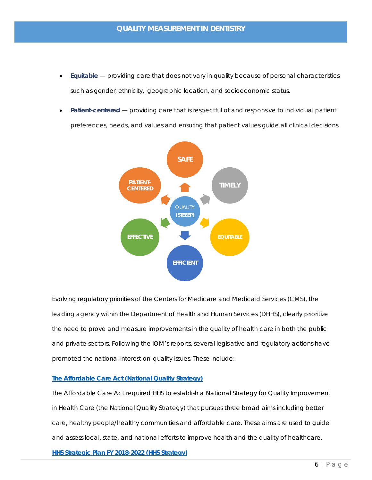- *Equitable* providing care that does not vary in quality because of personal characteristics such as gender, ethnicity, geographic location, and socioeconomic status.
- *Patient-centered* providing care that is respectful of and responsive to individual patient preferences, needs, and values and ensuring that patient values guide all clinical decisions.



Evolving regulatory priorities of the Centers for Medicare and Medicaid Services (CMS), the leading agency within the Department of Health and Human Services (DHHS), clearly prioritize the need to prove and measure improvements in the quality of health care in both the public and private sectors. Following the IOM's reports, several legislative and regulatory actions have promoted the national interest on quality issues. These include:

#### **[The Affordable Care Act \(National Quality Strategy\)](https://www.ahrq.gov/workingforquality/about/index.html)**

*The Affordable Care Act required HHS to establish a National Strategy for Quality Improvement in Health Care (the National Quality Strategy) that pursues three broad aims including better care, healthy people/healthy communities and affordable care. These aims are used to guide and assess local, state, and national efforts to improve health and the quality of healthcare.* **[HHS Strategic Plan FY 2018-2022 \(HHS Strategy\)](https://www.hhs.gov/about/strategic-plan/overview/index.html#overview)**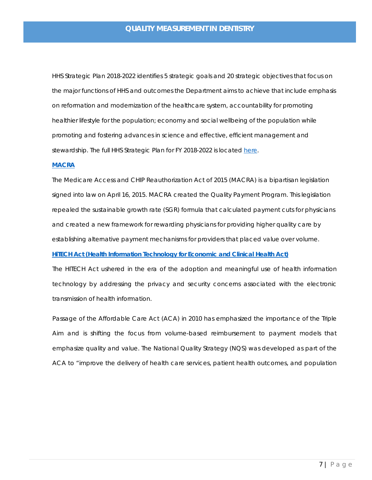*HHS Strategic Plan 2018-2022 identifies 5 strategic goals and 20 strategic objectives that focus on the major functions of HHS and outcomes the Department aims to achieve that include emphasis on reformation and modernization of the healthcare system, accountability for promoting healthier lifestyle for the population; economy and social wellbeing of the population while promoting and fostering advances in science and effective, efficient management and stewardship. The full HHS Strategic Plan for FY 2018-2022 is located [here.](https://www.hhs.gov/about/strategic-plan/index.html)* 

#### **[MACRA](https://www.cms.gov/medicare/quality-initiatives-patient-assessment-instruments/value-based-programs/macra-mips-and-apms/macra-mips-and-apms.html)**

*The Medicare Access and CHIP Reauthorization Act of 2015 (MACRA) is a bipartisan legislation*  signed into law on April 16, 2015. MACRA created the Quality Payment Program. This legislation *repealed the sustainable growth rate (SGR) formula that calculated payment cuts for physicians and created a new framework for rewarding physicians for providing higher quality care by establishing alternative payment mechanisms for providers that placed value over volume.* **[HiTECH Act \(Health Information Technology for Economic and Clinical Health Act\)](https://www.hhs.gov/hipaa/for-professionals/special-topics/hitech-act-enforcement-interim-final-rule/index.html)**

*The HITECH Act ushered in the era of the adoption and meaningful use of health information technology by addressing the privacy and security concerns associated with the electronic transmission of health information.*

Passage of the Affordable Care Act (ACA) in 2010 has emphasized the importance of the Triple Aim and is shifting the focus from volume-based reimbursement to payment models that emphasize quality and value. The National Quality Strategy (NQS) was developed as part of the ACA to "improve the delivery of health care services, patient health outcomes, and population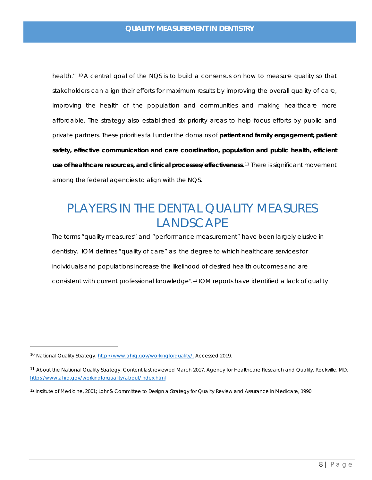health." <sup>[10](#page-8-1)</sup> A central goal of the NQS is to build a consensus on how to measure quality so that stakeholders can align their efforts for maximum results by improving the overall quality of care, improving the health of the population and communities and making healthcare more affordable. The strategy also established six priority areas to help focus efforts by public and private partners. These priorities fall under the domains of **patient and family engagement, patient safety, effective communication and care coordination, population and public health, efficient use of healthcare resources, and clinical processes/effectiveness.**[11](#page-8-2) There is significant movement among the federal agencies to align with the NQS.

# <span id="page-8-0"></span>PLAYERS IN THE DENTAL QUALITY MEASURES **LANDSCAPE**

The terms "quality measures" and "performance measurement" have been largely elusive in dentistry. IOM defines "quality of care" as "the degree to which healthcare services for individuals and populations increase the likelihood of desired health outcomes and are consistent with current professional knowledge".[12](#page-8-3) IOM reports have identified a lack of quality

 $\ddot{ }$ 

<span id="page-8-1"></span><sup>&</sup>lt;sup>10</sup> National Quality Strategy. [http://www.ahrq.gov/workingforquality/.](http://www.ahrq.gov/workingforquality/) Accessed 2019.

<span id="page-8-2"></span><sup>11</sup> About the National Quality Strategy. Content last reviewed March 2017. Agency for Healthcare Research and Quality, Rockville, MD. <http://www.ahrq.gov/workingforquality/about/index.html>

<span id="page-8-3"></span><sup>12</sup> Institute of Medicine, 2001; Lohr & Committee to Design a Strategy for Quality Review and Assurance in Medicare, 1990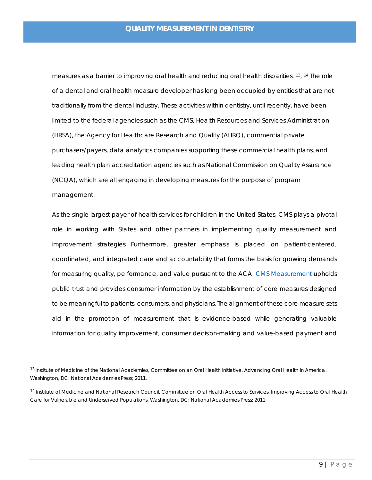measures as a barrier to improving oral health and reducing oral health disparities. <sup>[13](#page-9-0)</sup>, <sup>[14](#page-9-1)</sup> The role of a dental and oral health measure developer has long been occupied by entities that are not traditionally from the dental industry. These activities within dentistry, until recently, have been limited to the federal agencies such as the CMS, Health Resources and Services Administration (HRSA), the Agency for Healthcare Research and Quality (AHRQ), commercial private purchasers/payers, data analytics companies supporting these commercial health plans, and leading health plan accreditation agencies such as National Commission on Quality Assurance (NCQA), which are all engaging in developing measures for the purpose of program management.

As the single largest payer of health services for children in the United States, CMS plays a pivotal role in working with States and other partners in implementing quality measurement and improvement strategies Furthermore, greater emphasis is placed on patient-centered, coordinated, and integrated care and accountability that forms the basis for growing demands for measuring quality, performance, and value pursuant to the ACA. CMS [Measurement](https://www.cms.gov/medicare/quality-initiatives-patient-assessment-instruments/qualitymeasures/core-measures.html) upholds public trust and provides consumer information by the establishment of core measures designed to be meaningful to patients, consumers, and physicians. The alignment of these core measure sets aid in the promotion of measurement that is evidence-based while generating valuable information for quality improvement, consumer decision-making and value-based payment and

 $\ddot{ }$ 

<span id="page-9-0"></span><sup>&</sup>lt;sup>13</sup> Institute of Medicine of the National Academies, Committee on an Oral Health Initiative. Advancing Oral Health in America. Washington, DC: National Academies Press; 2011.

<span id="page-9-1"></span><sup>14</sup> Institute of Medicine and National Research Council, Committee on Oral Health Access to Services. Improving Access to Oral Health Care for Vulnerable and Underserved Populations. Washington, DC: National Academies Press; 2011.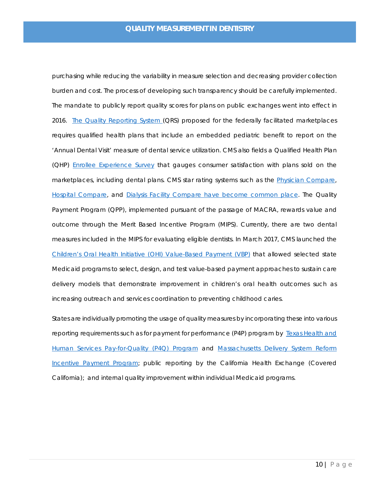purchasing while reducing the variability in measure selection and decreasing provider collection burden and cost. The process of developing such transparency should be carefully implemented. The mandate to publicly report quality scores for plans on public exchanges went into effect in 2016. [The Quality Reporting System \(](https://www.cms.gov/Medicare/Quality-Initiatives-Patient-Assessment-Instruments/QualityInitiativesGenInfo/ACA-MQI/ACA-MQI-Landing-Page.html)QRS) proposed for the federally facilitated marketplaces requires qualified health plans that include an embedded pediatric benefit to report on the 'Annual Dental Visit' measure of dental service utilization. CMS also fields a Qualified Health Plan (QHP) [Enrollee Experience Survey](https://www.cms.gov/Medicare/Quality-Initiatives-Patient-Assessment-Instruments/QualityInitiativesGenInfo/ACA-MQI/Consumer-Experience-Surveys/Surveys-page.html) that gauges consumer satisfaction with plans sold on the marketplaces, including dental plans. CMS star rating systems such as the [Physician Compare,](https://www.medicare.gov/physiciancompare/) [Hospital Compare,](https://www.medicare.gov/hospitalcompare/search.html) and [Dialysis Facility Compare](https://www.medicare.gov/dialysisfacilitycompare/) have become common place. The Quality Payment Program (QPP), implemented pursuant of the passage of MACRA, rewards value and outcome through the Merit Based Incentive Program (MIPS). Currently, there are two dental measures included in the MIPS for evaluating eligible dentists. In March 2017, CMS launched the [Children's Oral Health Initiative \(OHI\) Value-Based Payment \(VBP\)](https://www.medicaid.gov/state-resource-center/innovation-accelerator-program/iap-downloads/functional-areas/iap-oral-health-factsheet.pdf) that allowed selected state Medicaid programs to select, design, and test value-based payment approaches to sustain care delivery models that demonstrate improvement in children's oral health outcomes such as increasing outreach and services coordination to preventing childhood caries.

States are individually promoting the usage of quality measures by incorporating these into various reporting requirements such as for payment for performance (P4P) program by Texas Health and [Human Services Pay-for-Quality \(P4Q\) Program](https://hhs.texas.gov/about-hhs/process-improvement/medicaid-chip-quality-efficiency-improvement/pay-quality-p4q-program) and [Massachusetts Delivery System Reform](https://www.mass.gov/info-details/massachusetts-delivery-system-reform-incentive-payment-program)  [Incentive Payment Program;](https://www.mass.gov/info-details/massachusetts-delivery-system-reform-incentive-payment-program) public reporting by the California Health Exchange (Covered California); and internal quality improvement within individual Medicaid programs.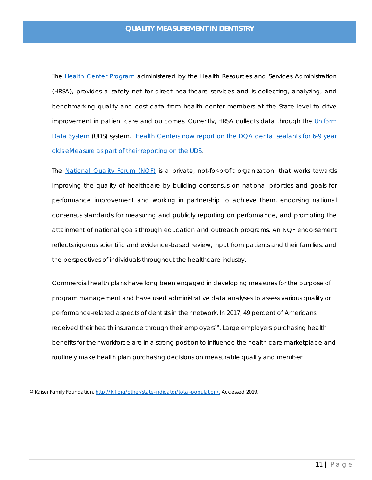The [Health Center Program](http://bphc.hrsa.gov/) administered by the Health Resources and Services Administration (HRSA), provides a safety net for direct healthcare services and is collecting, analyzing, and benchmarking quality and cost data from health center members at the State level to drive improvement in patient care and outcomes. Currently, HRSA collects data through the Uniform [Data System](https://bphc.hrsa.gov/datareporting/reporting/index.html) (UDS) system. [Health Centers now report on the](https://bphc.hrsa.gov/sites/default/files/bphc/datareporting/pdf/pal201901.pdf) DQA dental sealants for 6-9 year [olds eMeasure as part of their reporting on the UDS.](https://bphc.hrsa.gov/sites/default/files/bphc/datareporting/pdf/pal201901.pdf)

The [National Quality Forum \(NQF\)](http://www.qualityforum.org/Home.aspx) is a private, not-for-profit organization, that works towards improving the quality of healthcare by building consensus on national priorities and goals for performance improvement and working in partnership to achieve them, endorsing national consensus standards for measuring and publicly reporting on performance, and promoting the attainment of national goals through education and outreach programs. An NQF endorsement reflects rigorous scientific and evidence-based review, input from patients and their families, and the perspectives of individuals throughout the healthcare industry.

Commercial health plans have long been engaged in developing measures for the purpose of program management and have used administrative data analyses to assess various quality or performance-related aspects of dentists in their network. In 2017, 49 percent of Americans received their health insurance through their employers<sup>[15](#page-11-0)</sup>. Large employers purchasing health benefits for their workforce are in a strong position to influence the health care marketplace and routinely make health plan purchasing decisions on measurable quality and member

 $\overline{a}$ 

<span id="page-11-0"></span><sup>15</sup> Kaiser Family Foundation[. http://kff.org/other/state-indicator/total-population/.](http://kff.org/other/state-indicator/total-population/) Accessed 2019.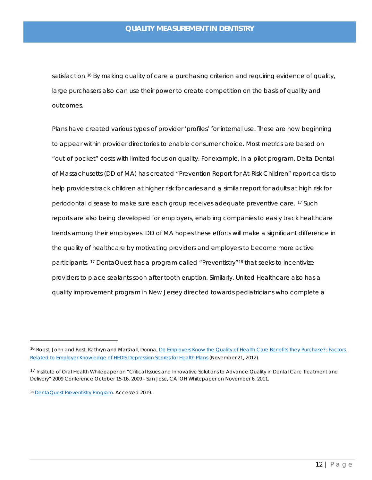satisfaction.<sup>[16](#page-12-1)</sup> By making quality of care a purchasing criterion and requiring evidence of quality, large purchasers also can use their power to create competition on the basis of quality and outcomes.

<span id="page-12-0"></span>Plans have created various types of provider 'profiles' for internal use. These are now beginning to appear within provider directories to enable consumer choice. Most metrics are based on "out-of pocket" costs with limited focus on quality. For example, in a pilot program, Delta Dental of Massachusetts (DD of MA) has created "Prevention Report for At-Risk Children" report cards to help providers track children at higher risk for caries and a similar report for adults at high risk for periodontal disease to make sure each group receives adequate preventive care. [17](#page-12-2) Such reports are also being developed for employers, enabling companies to easily track healthcare trends among their employees. DD of MA hopes these efforts will make a significant difference in the quality of healthcare by motivating providers and employers to become more active participants. <sup>[17](#page-12-0)</sup> DentaQuest has a program called "Preventistry"<sup>[18](#page-12-3)</sup> that seeks to incentivize providers to place sealants soon after tooth eruption. Similarly, United Healthcare also has a quality improvement program in New Jersey directed towards pediatricians who complete a

 $\overline{a}$ 

<span id="page-12-1"></span><sup>16</sup> Robst, John and Rost, Kathryn and Marshall, Donna, Do Employers Know the Quality of Health Care Benefits They Purchase?: Factors [Related to Employer Knowledge of HEDIS Depression Scores for Health Plans \(](https://poseidon01.ssrn.com/delivery.php?ID=617022022121093086088020013067086028016053089047061003065027085088084103029010067066100029017023042116110121099125086118116095012054046028049082095066123097094099059042071094099126064100097117116108094065109084095120119004027089014127099093078125020&EXT=pdf)November 21, 2012).

<span id="page-12-2"></span><sup>&</sup>lt;sup>17</sup> Institute of Oral Health Whitepaper on "Critical Issues and Innovative Solutions to Advance Quality in Dental Care Treatment and Delivery" 2009 Conference October 15-16, 2009 - San Jose, CA IOH Whitepaper on November 6, 2011.

<span id="page-12-3"></span><sup>18</sup> [DentaQuest Preventistry Program.](http://www.dentaquest.com/state-plans/prevention-focus/) Accessed 2019.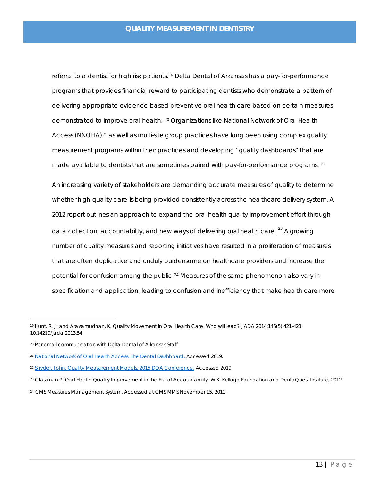referral to a dentist for high risk patients.[19](#page-13-0) Delta Dental of Arkansas has a pay-for-performance programs that provides financial reward to participating dentists who demonstrate a pattern of delivering appropriate evidence-based preventive oral health care based on certain measures demonstrated to improve oral health. [20](#page-13-1) Organizations like National Network of Oral Health Access (NNOHA)<sup>[21](#page-13-2)</sup> as well as multi-site group practices have long been using complex quality measurement programs within their practices and developing "quality dashboards" that are made available to dentists that are sometimes paired with pay-for-performance programs. <sup>[22](#page-13-3)</sup>

An increasing variety of stakeholders are demanding accurate measures of quality to determine whether high-quality care is being provided consistently across the healthcare delivery system. A 2012 report outlines an approach to expand the oral health quality improvement effort through data collection, accountability, and new ways of delivering oral health care. <sup>[23](#page-13-4)</sup> A growing number of quality measures and reporting initiatives have resulted in a proliferation of measures that are often duplicative and unduly burdensome on healthcare providers and increase the potential for confusion among the public.<sup>24</sup> Measures of the same phenomenon also vary in specification and application, leading to confusion and inefficiency that make health care more

 $\overline{a}$ 

<span id="page-13-0"></span><sup>19</sup> Hunt, R. J. and Aravamudhan, K. Quality Movement in Oral Health Care: Who will lead? JADA 2014;145(5):421-423 10.14219/jada.2013.54

<span id="page-13-1"></span><sup>20</sup> Per email communication with Delta Dental of Arkansas Staff

<span id="page-13-2"></span><sup>21</sup> [National Network of Oral Health Access. The Dental Dashboard.](http://www.nnoha.org/resources/dental-dashboard-information/) Accessed 2019.

<span id="page-13-3"></span><sup>&</sup>lt;sup>22</sup> [Snyder, John. Quality Measurement Models. 2015 DQA Conference.](http://www.ada.org/en/science-research/dental-quality-alliance/2015-dqa-conference) Accessed 2019.

<span id="page-13-4"></span><sup>23</sup> Glassman P, Oral Health Quality Improvement in the Era of Accountability. W.K. Kellogg Foundation and DentaQuest Institute, 2012.

<span id="page-13-5"></span><sup>24</sup> CMS Measures Management System. Accessed at CMS MMS November 15, 2011.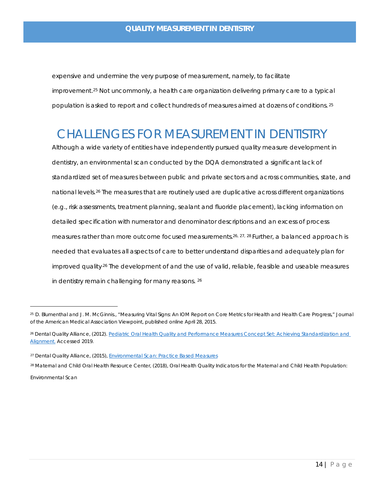<span id="page-14-1"></span>expensive and undermine the very purpose of measurement, namely, to facilitate improvement[.25](#page-14-3) Not uncommonly, a health care organization delivering primary care to a typical population is asked to report and collect hundreds of measures aimed at dozens of conditions. [25](#page-14-1) 

# <span id="page-14-0"></span>CHALLENGES FOR MEASUREMENT IN DENTISTRY

<span id="page-14-2"></span>Although a wide variety of entities have independently pursued quality measure development in dentistry, an environmental scan conducted by the DQA demonstrated a significant lack of standardized set of measures between public and private sectors and across communities, state, and national levels.<sup>[26](#page-14-4)</sup> The measures that are routinely used are duplicative across different organizations (e.g., risk assessments, treatment planning, sealant and fluoride placement), lacking information on detailed specification with numerator and denominator descriptions and an excess of process measures rather than more outcome focused measurements.<sup>26, [27](#page-14-5), [28](#page-14-6)</sup> Further, a balanced approach is needed that evaluates all aspects of care to better understand disparities and adequately plan for improved qualit[y.26](#page-14-2) The development of and the use of valid, reliable, feasible and useable measures in dentistry remain challenging for many reasons. [26](#page-14-2)

<span id="page-14-3"></span><sup>25</sup> D. Blumenthal and J. M. McGinnis., "Measuring Vital Signs: An IOM Report on Core Metrics for Health and Health Care Progress," Journal of the American Medical Association Viewpoint, published online April 28, 2015.

<sup>26</sup> Dental Quality Alliance, (2012). [Pediatric Oral Health Quality and Performance Measures Concept Set: Achieving Standardization and](http://www.ada.org/en/science-research/dental-quality-alliance/dqa-measure-activities)  [Alignment.](http://www.ada.org/en/science-research/dental-quality-alliance/dqa-measure-activities) Accessed 2019.

<sup>&</sup>lt;sup>27</sup> Dental Quality Alliance, (2015), *Environmental Scan: Practice Based Measures* 

<span id="page-14-6"></span><span id="page-14-5"></span><span id="page-14-4"></span><sup>28</sup> Maternal and Child Oral Health Resource Center, (2018), Oral Health Quality Indicators for the Maternal and Child Health Population: Environmental Scan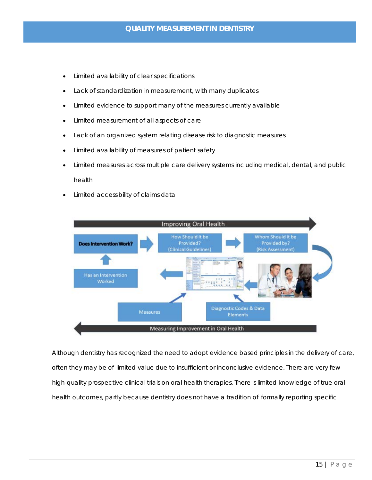- Limited availability of clear specifications
- Lack of standardization in measurement, with many duplicates
- Limited evidence to support many of the measures currently available
- Limited measurement of all aspects of care
- Lack of an organized system relating disease risk to diagnostic measures
- Limited availability of measures of patient safety
- Limited measures across multiple care delivery systems including medical, dental, and public health
- Limited accessibility of claims data



Although dentistry has recognized the need to adopt evidence based principles in the delivery of care, often they may be of limited value due to insufficient or inconclusive evidence. There are very few high-quality prospective clinical trials on oral health therapies. There is limited knowledge of true oral health outcomes, partly because dentistry does not have a tradition of formally reporting specific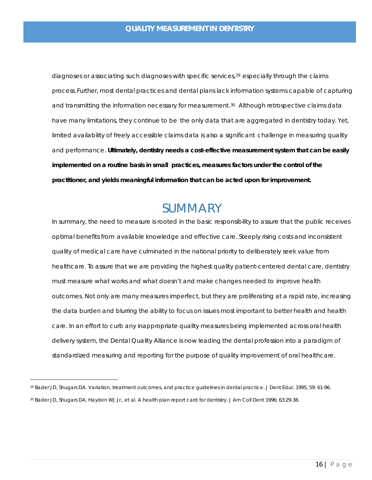diagnoses or associating such diagnoses with specific services,<sup>[29](#page-16-1)</sup> especially through the claims process. Further, most dental practices and dental plans lack information systems capable of capturing and transmitting the information necessary for measurement.<sup>30</sup> Although retrospective claims data have many limitations, they continue to be the only data that are aggregated in dentistry today. Yet, limited availability of freely accessible claims data is also a significant challenge in measuring quality and performance. **Ultimately, dentistry needs a cost-effective measurement system that can be easily implemented on a routine basis in small practices, measures factors under the control of the practitioner, and yields meaningful information that can be acted upon for improvement.**

### SUMMARY

<span id="page-16-0"></span>In summary, the need to measure is rooted in the basic responsibility to assure that the public receives optimal benefits from available knowledge and effective care. Steeply rising costs and inconsistent quality of medical care have culminated in the national priority to deliberately seek value from healthcare. To assure that we are providing the highest quality patient-centered dental care, dentistry must measure what works and what doesn't and make changes needed to improve health outcomes. Not only are many measures imperfect, but they are proliferating at a rapid rate, increasing the data burden and blurring the ability to focus on issues most important to better health and health care. In an effort to curb any inappropriate quality measures being implemented across oral health delivery system, the Dental Quality Alliance is now leading the dental profession into a paradigm of standardized measuring and reporting for the purpose of quality improvement of oral healthcare.

<span id="page-16-2"></span><span id="page-16-1"></span><sup>29</sup> Bader JD, Shugars DA. Variation, treatment outcomes, and practice guidelines in dental practice. J Dent Educ 1995, 59: 61-96. <sup>30</sup> Bader JD, Shugars DA, Hayden WJ Jr., et al. A health plan report card for dentistry. J Am Coll Dent 1996; 63:29-38.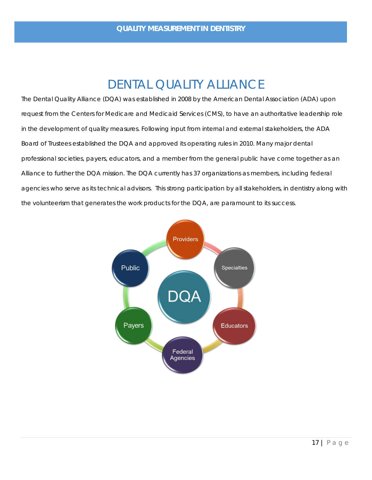# DENTAL QUALITY ALLIANCE

<span id="page-17-0"></span>The Dental Quality Alliance (DQA) was established in 2008 by the American Dental Association (ADA) upon request from the Centers for Medicare and Medicaid Services (CMS), to have an authoritative leadership role in the development of quality measures. Following input from internal and external stakeholders, the ADA Board of Trustees established the DQA and approved its operating rules in 2010. Many major dental professional societies, payers, educators, and a member from the general public have come together as an Alliance to further the DQA mission. The DQA currently has 37 organizations as members, including federal agencies who serve as its technical advisors. This strong participation by all stakeholders, in dentistry along with the volunteerism that generates the work products for the DQA, are paramount to its success.

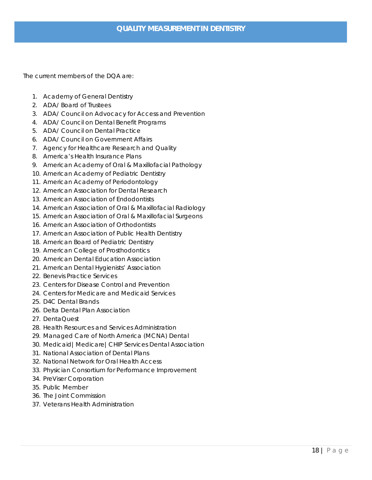The current members of the DQA are:

- 1. Academy of General Dentistry
- 2. ADA/ Board of Trustees
- 3. ADA/ Council on Advocacy for Access and Prevention
- 4. ADA/ Council on Dental Benefit Programs
- 5. ADA/ Council on Dental Practice
- 6. ADA/ Council on Government Affairs
- 7. Agency for Healthcare Research and Quality
- 8. America's Health Insurance Plans
- 9. American Academy of Oral & Maxillofacial Pathology
- 10. American Academy of Pediatric Dentistry
- 11. American Academy of Periodontology
- 12. American Association for Dental Research
- 13. American Association of Endodontists
- 14. American Association of Oral & Maxillofacial Radiology
- 15. American Association of Oral & Maxillofacial Surgeons
- 16. American Association of Orthodontists
- 17. American Association of Public Health Dentistry
- 18. American Board of Pediatric Dentistry
- 19. American College of Prosthodontics
- 20. American Dental Education Association
- 21. American Dental Hygienists' Association
- 22. Benevis Practice Services
- 23. Centers for Disease Control and Prevention
- 24. Centers for Medicare and Medicaid Services
- 25. D4C Dental Brands
- 26. Delta Dental Plan Association
- 27. DentaQuest
- 28. Health Resources and Services Administration
- 29. Managed Care of North America (MCNA) Dental
- 30. Medicaid|Medicare|CHIP Services Dental Association
- 31. National Association of Dental Plans
- 32. National Network for Oral Health Access
- 33. Physician Consortium for Performance Improvement
- 34. PreViser Corporation
- 35. Public Member
- 36. The Joint Commission
- 37. Veterans Health Administration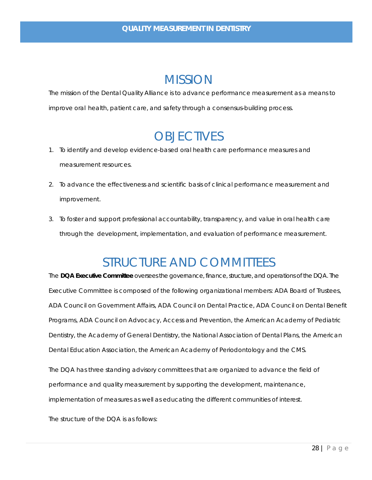### **MISSION**

<span id="page-19-0"></span>The mission of the Dental Quality Alliance is to advance performance measurement as a means to improve oral health, patient care, and safety through a consensus-building process.

# **OBJECTIVES**

- <span id="page-19-1"></span>1. To identify and develop evidence-based oral health care performance measures and measurement resources.
- 2. To advance the effectiveness and scientific basis of clinical performance measurement and improvement.
- 3. To foster and support professional accountability, transparency, and value in oral health care through the development, implementation, and evaluation of performance measurement.

## STRUCTURE AND COMMITTEES

<span id="page-19-2"></span>The **DQA Executive Committee** oversees the governance, finance, structure, and operations of the DQA. The Executive Committee is composed of the following organizational members: ADA Board of Trustees, ADA Council on Government Affairs, ADA Council on Dental Practice, ADA Council on Dental Benefit Programs, ADA Council on Advocacy, Access and Prevention, the American Academy of Pediatric Dentistry, the Academy of General Dentistry, the National Association of Dental Plans, the American Dental Education Association, the American Academy of Periodontology and the CMS.

The DQA has three standing advisory committees that are organized to advance the field of performance and quality measurement by supporting the development, maintenance, implementation of measures as well as educating the different communities of interest.

The structure of the DQA is as follows: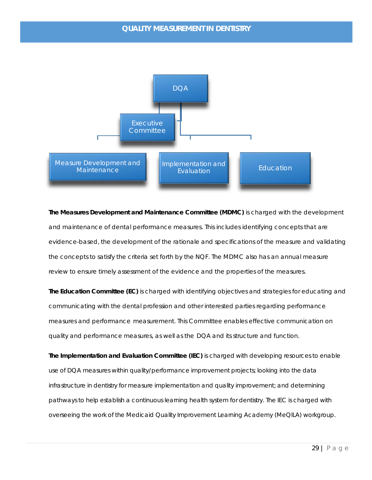

**The Measures Development and Maintenance Committee (MDMC)** is charged with the development and maintenance of dental performance measures. This includes identifying concepts that are evidence-based, the development of the rationale and specifications of the measure and validating the concepts to satisfy the criteria set forth by the NQF. The MDMC also has an annual measure review to ensure timely assessment of the evidence and the properties of the measures.

**The Education Committee (EC)** is charged with identifying objectives and strategies for educating and communicating with the dental profession and other interested parties regarding performance measures and performance measurement. This Committee enables effective communication on quality and performance measures, as well as the DQA and its structure and function.

**The Implementation and Evaluation Committee (IEC)** is charged with developing resources to enable use of DQA measures within quality/performance improvement projects; looking into the data infrastructure in dentistry for measure implementation and quality improvement; and determining pathways to help establish a continuous learning health system for dentistry. The IEC is charged with overseeing the work of the Medicaid Quality Improvement Learning Academy (MeQILA) workgroup.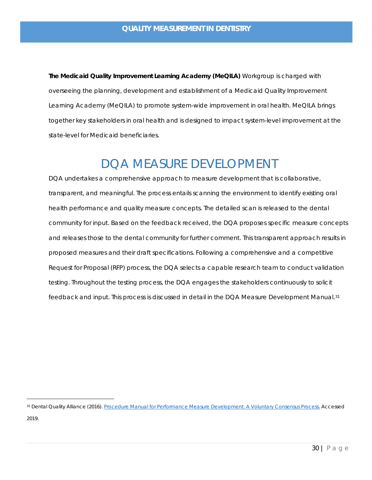**The Medicaid Quality Improvement Learning Academy (MeQILA)** Workgroup is charged with overseeing the planning, development and establishment of a Medicaid Quality Improvement Learning Academy (MeQILA) to promote system-wide improvement in oral health. MeQILA brings together key stakeholders in oral health and is designed to impact system-level improvement at the state-level for Medicaid beneficiaries.

# <span id="page-21-2"></span>DQA MEASURE DEVELOPMENT

<span id="page-21-0"></span>DQA undertakes a comprehensive approach to measure development that is collaborative, transparent, and meaningful. The process entails scanning the environment to identify existing oral health performance and quality measure concepts. The detailed scan is released to the dental community for input. Based on the feedback received, the DQA proposes specific measure concepts and releases those to the dental community for further comment. This transparent approach results in proposed measures and their draft specifications. Following a comprehensive and a competitive Request for Proposal (RFP) process, the DQA selects a capable research team to conduct validation testing. Throughout the testing process, the DQA engages the stakeholders continuously to solicit feedback and input. This process is discussed in detail in the DQA Measure Development Manual.<sup>[31](#page-21-1)</sup>

<span id="page-21-1"></span><sup>31</sup> Dental Quality Alliance (2016)[. Procedure Manual for Performance Measure Development: A Voluntary Consensus Process.](https://www.ada.org/%7E/media/ADA/Science%20and%20Research/Files/DQA_2016_Measure_Development_Procedure_Manual.pdf?la=en) Accessed 2019.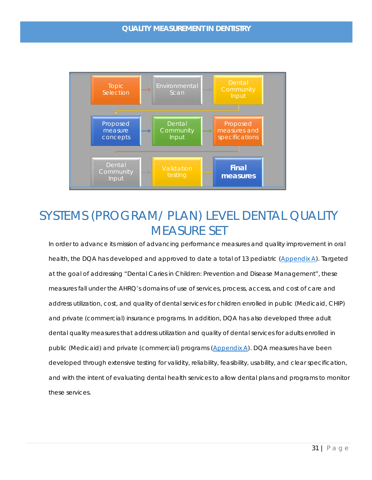

# <span id="page-22-0"></span>SYSTEMS (PROGRAM/ PLAN) LEVEL DENTAL QUALITY MEASURE SET

In order to advance its mission of advancing performance measures and quality improvement in oral health, the DQA has developed and approved to date a total of 13 pediatric [\(Appendix A\)](#page-39-0). Targeted at the goal of addressing "Dental Caries in Children: Prevention and Disease Management", these measures fall under the AHRQ's domains of use of services, process, access, and cost of care and address utilization, cost, and quality of dental services for children enrolled in public (Medicaid, CHIP) and private (commercial) insurance programs. In addition, DQA has also developed three adult dental quality measures that address utilization and quality of dental services for adults enrolled in public (Medicaid) and private (commercial) programs [\(Appendix A\)](#page-39-0). DQA measures have been developed through extensive testing for validity, reliability, feasibility, usability, and clear specification, and with the intent of evaluating dental health services to allow dental plans and programs to monitor these services.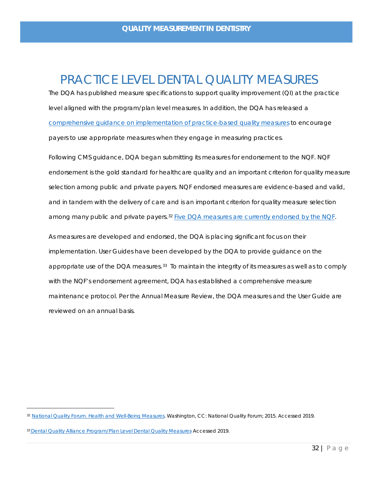### PRACTICE LEVEL DENTAL QUALITY MEASURES

<span id="page-23-0"></span>The DQA has published measure specifications to support quality improvement (QI) at the practice level aligned with the program/plan level measures. In addition, the DQA has released a [comprehensive guidance on implementation of practice-based quality measures](https://www.ada.org/%7E/media/ADA/DQA/2018_PBM_Guidance_Implementation_Final20181108t102945.pdf?la=en) to encourage payers to use appropriate measures when they engage in measuring practices.

Following CMS guidance, DQA began submitting its measures for endorsement to the NQF. NQF endorsement is the gold standard for healthcare quality and an important criterion for quality measure selection among public and private payers. NQF endorsed measures are evidence-based and valid, and in tandem with the delivery of care and is an important criterion for quality measure selection among many public and private payers.<sup>[32](#page-23-1)</sup> [Five DQA measures are currently endorsed by the NQF.](http://www.qualityforum.org/qps/)

As measures are developed and endorsed, the DQA is placing significant focus on their implementation. User Guides have been developed by the DQA to provide guidance on the appropriate use of the DQA measures.<sup>33</sup> To maintain the integrity of its measures as well as to comply with the NQF's endorsement agreement, DQA has established a comprehensive measure maintenance protocol. Per the Annual Measure Review, the DQA measures and the User Guide are reviewed on an annual basis.

<span id="page-23-1"></span><sup>32</sup> [National Quality Forum. Health and Well-Being Measures.](http://www.qualityforum.org/Health_and_Well-Being_Measures.aspx) Washington, CC: National Quality Forum; 2015. Accessed 2019.

<span id="page-23-2"></span><sup>33</sup> [Dental Quality Alliance Program/Plan Level Dental Quality Measures.](https://www.ada.org/en/science-research/dental-quality-alliance/dqa-measure-activities/measures-medicaid-and-dental-plan-assessments) Accessed 2019.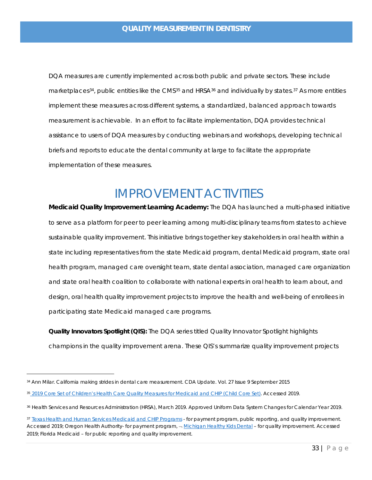DQA measures are currently implemented across both public and private sectors. These include marketplaces<sup>[34](#page-24-1)</sup>, public entities like the CMS<sup>[35](#page-24-2)</sup> and HRSA<sup>[36](#page-24-3)</sup> and individually by states.<sup>[37](#page-24-4)</sup> As more entities implement these measures across different systems, a standardized, balanced approach towards measurement is achievable. In an effort to facilitate implementation, DQA provides technical assistance to users of DQA measures by conducting webinars and workshops, developing technical briefs and reports to educate the dental community at large to facilitate the appropriate implementation of these measures.

### IMPROVEMENT ACTIVITIES

<span id="page-24-0"></span>**Medicaid Quality Improvement Learning Academy:** The DQA has launched a multi-phased initiative to serve as a platform for peer to peer learning among multi-disciplinary teams from states to achieve sustainable quality improvement. This initiative brings together key stakeholders in oral health within a state including representatives from the state Medicaid program, dental Medicaid program, state oral health program, managed care oversight team, state dental association, managed care organization and state oral health coalition to collaborate with national experts in oral health to learn about, and design, oral health quality improvement projects to improve the health and well-being of enrollees in participating state Medicaid managed care programs.

**Quality Innovators Spotlight (QIS):** The DQA series titled Quality Innovator Spotlight highlights champions in the quality improvement arena. These QIS's summarize quality improvement projects

<span id="page-24-1"></span><sup>34</sup> Ann Milar. California making strides in dental care measurement. CDA Update. Vol. 27 Issue 9 September 2015

<span id="page-24-2"></span><sup>35</sup> [2019 Core Set of Children's Health Care Quality Measures for Medicaid and CHIP \(Child Core Set\).](https://www.medicaid.gov/medicaid/quality-of-care/downloads/performance-measurement/2019-child-core-set.pdf) Accessed 2019.

<span id="page-24-3"></span><sup>36</sup> Health Services and Resources Administration (HRSA), March 2019. Approved Uniform Data System Changes for Calendar Year 2019.

<span id="page-24-4"></span><sup>37</sup> [Texas Health and Human Services Medicaid and CHIP Programs -](https://hhs.texas.gov/services/health/medicaid-chip/medicaid-chip-programs) for payment program, public reporting, and quality improvement. Accessed 2019; Oregon Health Authority- for payment program,  $\neg$  Michigan Healthy Kids Dental - for quality improvement. Accessed 2019; Florida Medicaid – for public reporting and quality improvement.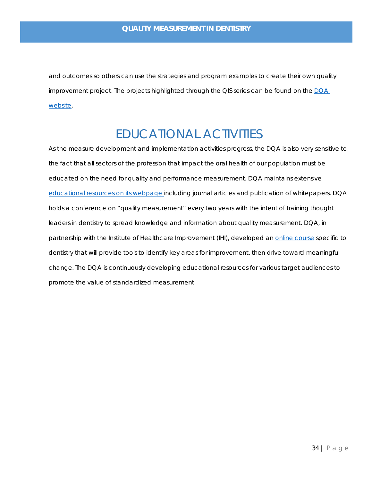and outcomes so others can use the strategies and program examples to create their own quality improvement project. The projects highlighted through the QIS series can be found on the [DQA](https://www.ada.org/en/science-research/dental-quality-alliance/dqa-improvement-resources)  [website.](https://www.ada.org/en/science-research/dental-quality-alliance/dqa-improvement-resources)

# EDUCATIONAL ACTIVITIES

<span id="page-25-0"></span>As the measure development and implementation activities progress, the DQA is also very sensitive to the fact that all sectors of the profession that impact the oral health of our population must be educated on the need for quality and performance measurement. DQA maintains extensive [educational resources on its webpage](https://www.ada.org/en/science-research/dental-quality-alliance/dqa_educational_resources) including journal articles and publication of whitepapers. DQA holds a conference on "quality measurement" every two years with the intent of training thought leaders in dentistry to spread knowledge and information about quality measurement. DQA, in partnership with the Institute of Healthcare Improvement (IHI), developed an [online course](http://www.ihi.org/education/IHIOpenSchool/Courses/Pages/Dental-Quality-Alliance-DQA.aspx) specific to dentistry that will provide tools to identify key areas for improvement, then drive toward meaningful change. The DQA is continuously developing educational resources for various target audiences to promote the value of standardized measurement.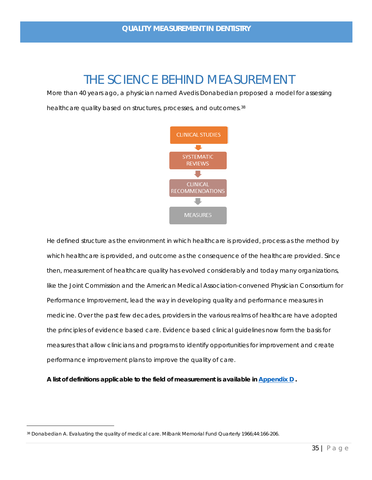## THE SCIENCE BEHIND MEASUREMENT

<span id="page-26-0"></span>More than 40 years ago, a physician named Avedis Donabedian proposed a model for assessing healthcare quality based on structures, processes, and outcomes.<sup>38</sup>



He defined structure as the environment in which healthcare is provided, process as the method by which healthcare is provided, and outcome as the consequence of the healthcare provided. Since then, measurement of healthcare quality has evolved considerably and today many organizations, like the Joint Commission and the American Medical Association-convened Physician Consortium for Performance Improvement, lead the way in developing quality and performance measures in medicine. Over the past few decades, providers in the various realms of healthcare have adopted the principles of evidence based care. Evidence based clinical guidelines now form the basis for measures that allow clinicians and programs to identify opportunities for improvement and create performance improvement plans to improve the quality of care.

*A list of definitions applicable to the field of measurement is available in [Appendix D .](#page-49-0)* 

<span id="page-26-1"></span><sup>38</sup> Donabedian A. Evaluating the quality of medical care. Milbank Memorial Fund Quarterly 1966;44:166-206.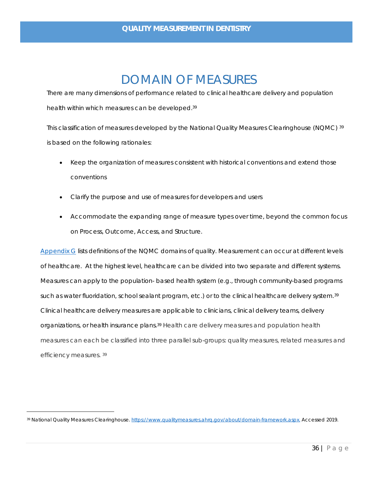### DOMAIN OF MEASURES

<span id="page-27-0"></span>There are many dimensions of performance related to clinical healthcare delivery and population health within which measures can be develope[d.39](#page-27-1)

This classification of measures developed by the National Quality Measures Clearinghouse (NQMC) [39](#page-27-1) is based on the following rationales:

- Keep the organization of measures consistent with historical conventions and extend those conventions
- Clarify the purpose and use of measures for developers and users
- <span id="page-27-1"></span>• Accommodate the expanding range of measure types over time, beyond the common focus on Process, Outcome, Access, and Structure.

[Appendix G](#page-56-0) lists definitions of the NQMC domains of quality. Measurement can occur at different levels of healthcare. At the highest level, healthcare can be divided into two separate and different systems. Measures can apply to the population- based health system (e.g., through community-based programs such as water fluoridation, school sealant program, etc.) or to the clinical healthcare delivery system.<sup>[39](#page-27-2)</sup> Clinical healthcare delivery measures are applicable to clinicians, clinical delivery teams, delivery organizations, or health insurance plans.<sup>39</sup> Health care delivery measures and population health measures can each be classified into three parallel sub-groups: quality measures, related measures and efficiency measures. [39](#page-27-1)

<span id="page-27-2"></span><sup>39</sup> National Quality Measures Clearinghouse[. https://www.qualitymeasures.ahrq.gov/about/domain-framework.aspx.](https://www.qualitymeasures.ahrq.gov/about/domain-framework.aspx) Accessed 2019.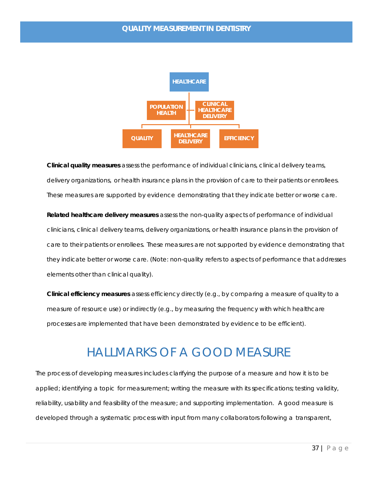

**Clinical quality measures** assess the performance of individual clinicians, clinical delivery teams, delivery organizations, or health insurance plans in the provision of care to their patients or enrollees. These measures are supported by evidence demonstrating that they indicate better or worse care.

**Related healthcare delivery measures** assess the non-quality aspects of performance of individual clinicians, clinical delivery teams, delivery organizations, or health insurance plans in the provision of care to their patients or enrollees. These measures are not supported by evidence demonstrating that they indicate better or worse care. (Note: non-quality refers to aspects of performance that addresses elements other than clinical quality).

**Clinical efficiency measures** assess efficiency directly (e.g., by comparing a measure of quality to a measure of resource use) or indirectly (e.g., by measuring the frequency with which healthcare processes are implemented that have been demonstrated by evidence to be efficient).

# HALLMARKS OF A GOOD MEASURE

<span id="page-28-0"></span>The process of developing measures includes clarifying the purpose of a measure and how it is to be applied; identifying a topic for measurement; writing the measure with its specifications; testing validity, reliability, usability and feasibility of the measure; and supporting implementation. A good measure is developed through a systematic process with input from many collaborators following a transparent,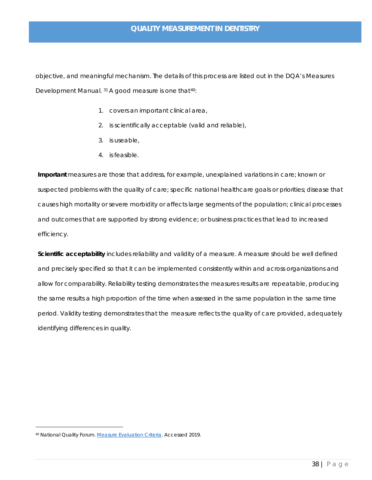objective, and meaningful mechanism. The details of this process are listed out in the DQA's Measures Development Manual. [31](#page-21-2) A good measure is one that<sup>40</sup>:

- 1. covers an important clinical area,
- 2. is scientifically acceptable (valid and reliable),
- 3. is useable,
- 4. is feasible.

**Important** measures are those that address, for example, unexplained variations in care; known or suspected problems with the quality of care; specific national healthcare goals or priorities; disease that causes high mortality or severe morbidity or affects large segments of the population; clinical processes and outcomes that are supported by strong evidence; or business practices that lead to increased efficiency.

**Scientific acceptability** includes reliability and validity of a measure. A measure should be well defined and precisely specified so that it can be implemented consistently within and across organizations and allow for comparability. Reliability testing demonstrates the measures results are repeatable, producing the same results a high proportion of the time when assessed in the same population in the same time period. Validity testing demonstrates that the measure reflects the quality of care provided, adequately identifying differences in quality.

<span id="page-29-0"></span><sup>40</sup> National Quality Forum[. Measure Evaluation Criteria.](http://www.qualityforum.org/Projects/i-m/Measure_Evaluation_Guidance/Measure_Evaluation_Guidance.aspx) Accessed 2019.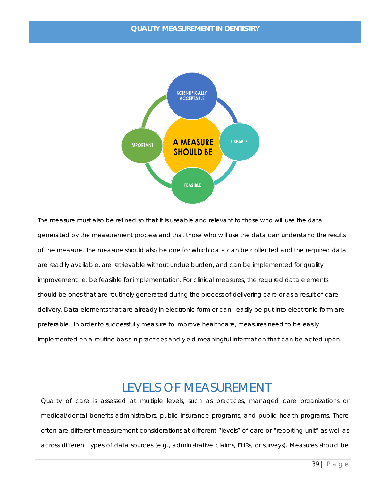

The measure must also be refined so that it is useable and relevant to those who will use the data generated by the measurement process and that those who will use the data can understand the results of the measure. The measure should also be one for which data can be collected and the required data are readily available, are retrievable without undue burden, and can be implemented for quality improvement i.e. be feasible for implementation. For clinical measures, the required data elements should be ones that are routinely generated during the process of delivering care or as a result of care delivery. Data elements that are already in electronic form or can easily be put into electronic form are preferable. In order to successfully measure to improve healthcare, measures need to be easily implemented on a routine basis in practices and yield meaningful information that can be acted upon.

### LEVELS OF MEASUREMENT

<span id="page-30-0"></span>Quality of care is assessed at multiple levels, such as practices, managed care organizations or medical/dental benefits administrators, public insurance programs, and public health programs. There often are different measurement considerations at different "levels" of care or "reporting unit" as well as across different types of data sources (e.g., administrative claims, EHRs, or surveys). Measures should be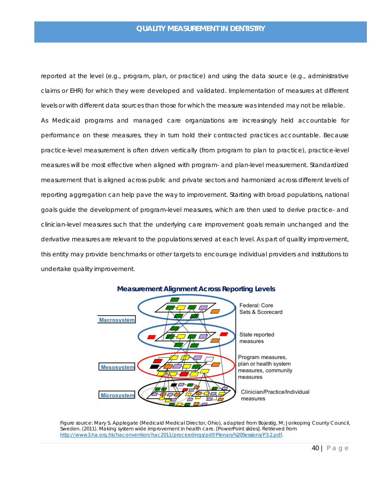reported at the level (e.g., program, plan, or practice) and using the data source (e.g., administrative claims or EHR) for which they were developed and validated. Implementation of measures at different levels or with different data sources than those for which the measure was intended may not be reliable. As Medicaid programs and managed care organizations are increasingly held accountable for performance on these measures, they in turn hold their contracted practices accountable. Because practice-level measurement is often driven vertically (from program to plan to practice), practice-level measures will be most effective when aligned with program- and plan-level measurement. Standardized measurement that is aligned across public and private sectors and harmonized across different levels of reporting aggregation can help pave the way to improvement. Starting with broad populations, national goals guide the development of program-level measures, which are then used to derive practice- and clinician-level measures such that the underlying care improvement goals remain unchanged and the derivative measures are relevant to the populations served at each level. As part of quality improvement, this entity may provide benchmarks or other targets to encourage individual providers and institutions to undertake quality improvement.

<span id="page-31-0"></span>

Figure source: Mary S. Applegate (Medicaid Medical Director, Ohio), adapted from Bojestig, M; Jonkoping County Council, Sweden. (2011). *Making system wide improvement in health care.* [PowerPoint slides]. Retrieved from [http://www3.ha.org.hk/haconvention/hac2011/proceedings/pdf/Plenary%20Sessions/P3.2.pdf.](http://www3.ha.org.hk/haconvention/hac2011/proceedings/pdf/Plenary%20Sessions/P3.2.pdf)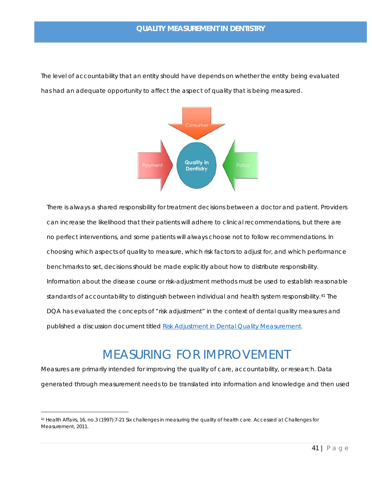The level of accountability that an entity should have depends on whether the entity being evaluated has had an adequate opportunity to affect the aspect of quality that is being measured.



There is always a shared responsibility for treatment decisions between a doctor and patient. Providers can increase the likelihood that their patients will adhere to clinical recommendations, but there are no perfect interventions, and some patients will always choose not to follow recommendations. In choosing which aspects of quality to measure, which risk factors to adjust for, and which performance benchmarks to set, decisions should be made explicitly about how to distribute responsibility. Information about the disease course or risk-adjustment methods must be used to establish reasonable standards of accountability to distinguish between individual and health system responsibility.<sup>[41](#page-32-1)</sup> The DQA has evaluated the concepts of "risk adjustment" in the context of dental quality measures and published a discussion document titled [Risk Adjustment in Dental Quality Measurement](https://www.ada.org/%7E/media/ADA/Science%20and%20Research/Files/DQA_2016_Risk_Adjustment_in_Dental_Quality_Measurement.pdf?la=en).

# MEASURING FOR IMPROVEMENT

<span id="page-32-0"></span>Measures are primarily intended for improving the quality of care, accountability, or research. Data generated through measurement needs to be translated into information and knowledge and then used

<span id="page-32-1"></span><sup>41</sup> Health Affairs, 16, no.3 (1997):7-21 Six challenges in measuring the quality of health care. Accessed at Challenges for Measurement, 2011.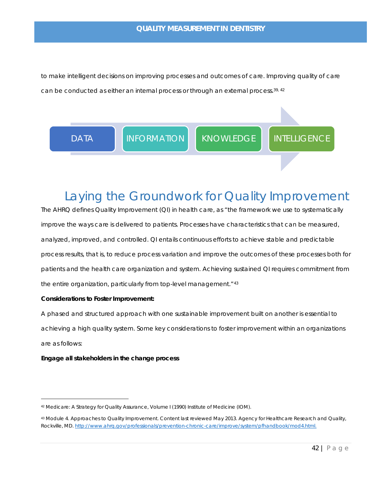to make intelligent decisions on improving processes and outcomes of care. Improving quality of care can be conducted as either an internal process or through an external process.<sup>39, [42](#page-33-1)</sup>



# <span id="page-33-0"></span>Laying the Groundwork for Quality Improvement

The AHRQ defines Quality Improvement (QI) in health care, as "the framework we use to systematically improve the ways care is delivered to patients. Processes have characteristics that can be measured, analyzed, improved, and controlled. QI entails continuous efforts to achieve stable and predictable process results, that is, to reduce process variation and improve the outcomes of these processes both for patients and the health care organization and system. Achieving sustained QI requires commitment from the entire organization, particularly from top-level management."<sup>[43](#page-33-2)</sup>

### **Considerations to Foster Improvement:**

A phased and structured approach with one sustainable improvement built on another is essential to achieving a high quality system. Some key considerations to foster improvement within an organizations are as follows:

#### **Engage all stakeholders in the change process**

<span id="page-33-1"></span><sup>42</sup> Medicare: A Strategy for Quality Assurance, Volume I (1990) Institute of Medicine (IOM).

<span id="page-33-2"></span><sup>43</sup> Module 4. Approaches to Quality Improvement. Content last reviewed May 2013. Agency for Healthcare Research and Quality, Rockville, MD[. http://www.ahrq.gov/professionals/prevention-chronic-care/improve/system/pfhandbook/mod4.html.](http://www.ahrq.gov/professionals/prevention-chronic-care/improve/system/pfhandbook/mod4.html)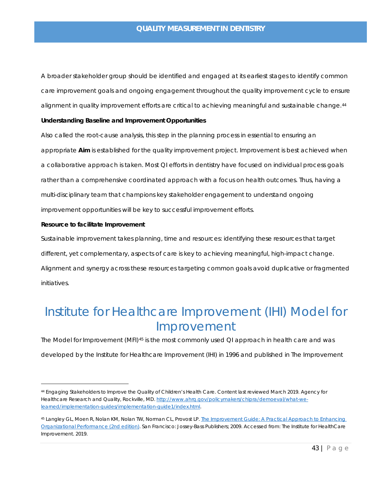A broader stakeholder group should be identified and engaged at its earliest stages to identify common care improvement goals and ongoing engagement throughout the quality improvement cycle to ensure alignment in quality improvement efforts are critical to achieving meaningful and sustainable change.<sup>[44](#page-34-1)</sup>

#### <span id="page-34-3"></span>**Understanding Baseline and Improvement Opportunities**

Also called the root-cause analysis, this step in the planning process in essential to ensuring an appropriate **Aim** is established for the quality improvement project. Improvement is best achieved when a collaborative approach is taken. Most QI efforts in dentistry have focused on individual process goals rather than a comprehensive coordinated approach with a focus on health outcomes. Thus, having a multi-disciplinary team that champions key stakeholder engagement to understand ongoing improvement opportunities will be key to successful improvement efforts.

#### **Resource to facilitate Improvement**

Sustainable improvement takes planning, time and resources: identifying these resources that target different, yet complementary, aspects of care is key to achieving meaningful, high-impact change. Alignment and synergy across these resources targeting common goals avoid duplicative or fragmented initiatives.

# <span id="page-34-0"></span>Institute for Healthcare Improvement (IHI) [Model for](http://www.ihi.org/resources/Pages/HowtoImprove/default.aspx)  [Improvement](http://www.ihi.org/resources/Pages/HowtoImprove/default.aspx)

The Model for Improvement (MFI)<sup>[45](#page-34-2)</sup> is the most commonly used QI approach in health care and was developed by the Institute for Healthcare Improvement (IHI) in 1996 and published in The Improvement

<span id="page-34-1"></span><sup>44</sup> Engaging Stakeholders to Improve the Quality of Children's Health Care. Content last reviewed March 2019. Agency for Healthcare Research and Quality, Rockville, MD[. http://www.ahrq.gov/policymakers/chipra/demoeval/what-we](http://www.ahrq.gov/policymakers/chipra/demoeval/what-we-learned/implementation-guides/implementation-guide1/index.html)[learned/implementation-guides/implementation-guide1/index.html.](http://www.ahrq.gov/policymakers/chipra/demoeval/what-we-learned/implementation-guides/implementation-guide1/index.html)

<span id="page-34-2"></span><sup>45</sup> Langley GL, Moen R, Nolan KM, Nolan TW, Norman CL, Provost LP. The Improvement Guide: A Practical Approach to Enhancing [Organizational Performance \(2nd edition\).](http://www.ihi.org/resources/Pages/Publications/ImprovementGuidePracticalApproachEnhancingOrganizationalPerformance.aspx) San Francisco: Jossey-Bass Publishers; 2009. Accessed from: The Institute for HealthCare Improvement. 2019.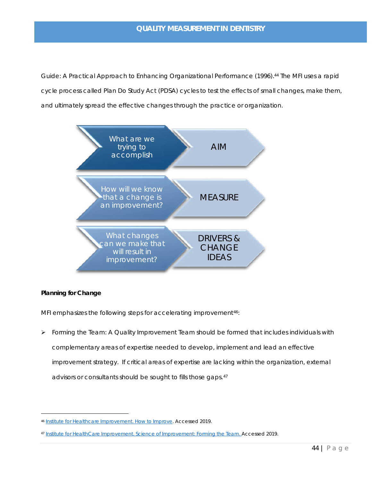Guide: A Practical Approach to Enhancing Organizational Performance (1996)[.44](#page-34-3) The MFI uses a rapid cycle process called Plan Do Study Act (PDSA) cycles to test the effects of small changes, make them, and ultimately spread the effective changes through the practice or organization.



### **Planning for Change**

MFI emphasizes the following steps for accelerating improvement<sup>46</sup>:

Forming the Team: A Quality Improvement Team should be formed that includes individuals with complementary areas of expertise needed to develop, implement and lead an effective improvement strategy. If critical areas of expertise are lacking within the organization, external advisors or consultants should be sought to fills those gaps.[47](#page-35-1)

<span id="page-35-0"></span><sup>46</sup> [Institute for Healthcare Improvement. How to Improve.](http://www.ihi.org/resources/Pages/HowtoImprove/default.aspx) Accessed 2019.

<span id="page-35-1"></span><sup>47</sup> [Institute for HealthCare Improvement. Science of Improvement: Forming the Team. A](http://www.ihi.org/resources/Pages/HowtoImprove/ScienceofImprovementFormingtheTeam.aspx)ccessed 2019.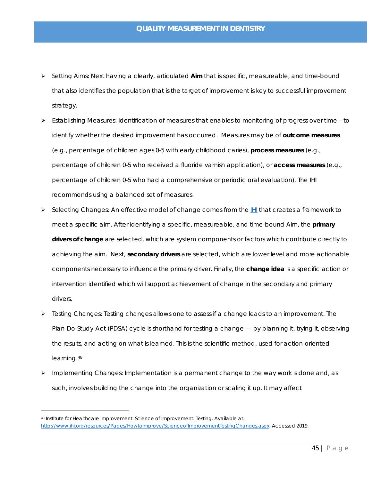- Setting Aims: Next having a clearly, articulated **Aim** that is specific, measureable, and time-bound that also identifies the population that is the target of improvement is key to successful improvement strategy.
- $\triangleright$  Establishing Measures: Identification of measures that enables to monitoring of progress over time to identify whether the desired improvement has occurred. Measures may be of **outcome measures** (e.g., percentage of children ages 0-5 with early childhood caries), **process measures** (e.g., percentage of children 0-5 who received a fluoride varnish application), or **access measures** (e.g., percentage of children 0-5 who had a comprehensive or periodic oral evaluation). The IHI recommends using a balanced set of measures.
- Selecting Changes: An effective model of change comes from the **IHI** that creates a framework to meet a specific aim. After identifying a specific, measureable, and time-bound Aim, the **primary drivers of change** are selected, which are system components or factors which contribute directly to achieving the aim. Next, **secondary drivers** are selected, which are lower level and more actionable components necessary to influence the primary driver. Finally, the **change idea** is a specific action or intervention identified which will support achievement of change in the secondary and primary drivers.
- $\triangleright$  Testing Changes: Testing changes allows one to assess if a change leads to an improvement. The Plan-Do-Study-Act (PDSA) cycle is shorthand for testing a change — by planning it, trying it, observing the results, and acting on what is learned. This is the scientific method, used for action-oriented learning.[48](#page-36-0)
- > Implementing Changes: Implementation is a permanent change to the way work is done and, as such, involves building the change into the organization or scaling it up. It may affect

<span id="page-36-0"></span><sup>48</sup> Institute for Healthcare Improvement. Science of Improvement: Testing. Available at: [http://www.ihi.org/resources/Pages/HowtoImprove/ScienceofImprovementTestingChanges.aspx.](http://www.ihi.org/resources/Pages/HowtoImprove/ScienceofImprovementTestingChanges.aspx) Accessed 2019.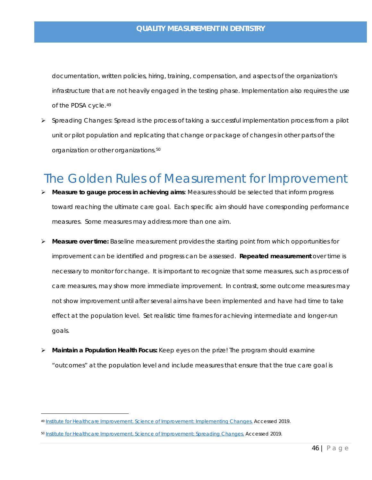documentation, written policies, hiring, training, compensation, and aspects of the organization's infrastructure that are not heavily engaged in the testing phase. Implementation also requires the use of the PDSA cycle.[49](#page-37-1)

 $\triangleright$  Spreading Changes: Spread is the process of taking a successful implementation process from a pilot unit or pilot population and replicating that change or package of changes in other parts of the organization or other organizations.[50](#page-37-2)

## <span id="page-37-0"></span>The Golden Rules of Measurement for Improvement

- **Measure to gauge process in achieving aims**: Measures should be selected that inform progress toward reaching the ultimate care goal. Each specific aim should have corresponding performance measures. Some measures may address more than one aim.
- **Measure over time:** Baseline measurement provides the starting point from which opportunities for improvement can be identified and progress can be assessed. **Repeated measurement** over time is necessary to monitor for change. It is important to recognize that some measures, such as process of care measures, may show more immediate improvement. In contrast, some outcome measures may not show improvement until after several aims have been implemented and have had time to take effect at the population level. Set realistic time frames for achieving intermediate and longer-run goals.
- **Maintain a Population Health Focus:** Keep eyes on the prize! The program should examine "outcomes" at the population level and include measures that ensure that the true care goal is

<span id="page-37-1"></span><sup>49</sup> [Institute for Healthcare Improvement. Science of Improvement: Implementing Changes.](http://www.ihi.org/resources/Pages/HowtoImprove/ScienceofImprovementImplementingChanges.aspx) Accessed 2019.

<span id="page-37-2"></span><sup>50</sup> [Institute for Healthcare Improvement. Science of Improvement: Spreading Changes.](http://www.ihi.org/resources/Pages/HowtoImprove/ScienceofImprovementSpreadingChanges.aspx.) Accessed 2019.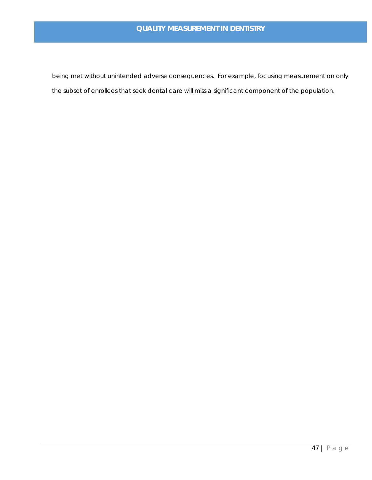being met without unintended adverse consequences. For example, focusing measurement on only the subset of enrollees that seek dental care will miss a significant component of the population.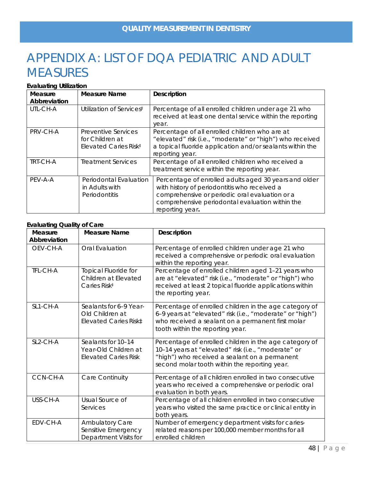# <span id="page-39-0"></span>APPENDIX A: LIST OF DQA PEDIATRIC AND ADULT **MEASURES**

#### **Evaluating Utilization**

| Measure      | <b>Measure Name</b>                                                         | <b>Description</b>                                                                                                                                                                                                            |
|--------------|-----------------------------------------------------------------------------|-------------------------------------------------------------------------------------------------------------------------------------------------------------------------------------------------------------------------------|
| Abbreviation |                                                                             |                                                                                                                                                                                                                               |
| UTL-CH-A     | Utilization of Services <sup>‡</sup>                                        | Percentage of all enrolled children under age 21 who<br>received at least one dental service within the reporting<br>year.                                                                                                    |
| PRV-CH-A     | Preventive Services<br>for Children at<br>Elevated Caries Risk <sup>‡</sup> | Percentage of all enrolled children who are at<br>"elevated" risk (i.e., "moderate" or "high") who received<br>a topical fluoride application and/or sealants within the<br>reporting year.                                   |
| TRT-CH-A     | <b>Treatment Services</b>                                                   | Percentage of all enrolled children who received a<br>treatment service within the reporting year.                                                                                                                            |
| PEV-A-A      | Periodontal Evaluation<br>in Adults with<br>Periodontitis                   | Percentage of enrolled adults aged 30 years and older<br>with history of periodontitis who received a<br>comprehensive or periodic oral evaluation or a<br>comprehensive periodontal evaluation within the<br>reporting year. |

#### **Evaluating Quality of Care**

| Measure      | <b>Measure Name</b>                                                             | Description                                                                                                                                                                                                     |
|--------------|---------------------------------------------------------------------------------|-----------------------------------------------------------------------------------------------------------------------------------------------------------------------------------------------------------------|
| Abbreviation |                                                                                 |                                                                                                                                                                                                                 |
| OEV-CH-A     | Oral Evaluation                                                                 | Percentage of enrolled children under age 21 who<br>received a comprehensive or periodic oral evaluation<br>within the reporting year.                                                                          |
| TFL-CH-A     | <b>Topical Fluoride for</b><br>Children at Elevated<br>Caries Risk <sup>#</sup> | Percentage of enrolled children aged 1-21 years who<br>are at "elevated" risk (i.e., "moderate" or "high") who<br>received at least 2 topical fluoride applications within<br>the reporting year.               |
| SL1-CH-A     | Sealants for 6-9 Year-<br>Old Children at<br>Elevated Caries Risk‡              | Percentage of enrolled children in the age category of<br>6-9 years at "elevated" risk (i.e., "moderate" or "high")<br>who received a sealant on a permanent first molar<br>tooth within the reporting year.    |
| SL2-CH-A     | Sealants for 10-14<br>Year-Old Children at<br><b>Elevated Caries Risk</b>       | Percentage of enrolled children in the age category of<br>10-14 years at "elevated" risk (i.e., "moderate" or<br>"high") who received a sealant on a permanent<br>second molar tooth within the reporting year. |
| CCN-CH-A     | Care Continuity                                                                 | Percentage of all children enrolled in two consecutive<br>years who received a comprehensive or periodic oral<br>evaluation in both years.                                                                      |
| USS-CH-A     | Usual Source of<br>Services                                                     | Percentage of all children enrolled in two consecutive<br>years who visited the same practice or clinical entity in<br>both years.                                                                              |
| EDV-CH-A     | Ambulatory Care<br>Sensitive Emergency<br>Department Visits for                 | Number of emergency department visits for caries-<br>related reasons per 100,000 member months for all<br>enrolled children                                                                                     |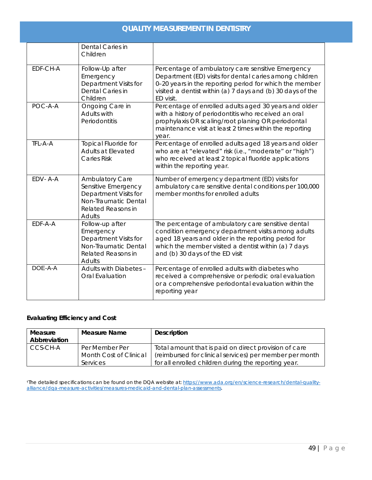|          | Dental Caries in<br>Children                                                                                                          |                                                                                                                                                                                                                                                            |
|----------|---------------------------------------------------------------------------------------------------------------------------------------|------------------------------------------------------------------------------------------------------------------------------------------------------------------------------------------------------------------------------------------------------------|
| EDF-CH-A | Follow-Up after<br>Emergency<br>Department Visits for<br>Dental Caries in<br>Children                                                 | Percentage of ambulatory care sensitive Emergency<br>Department (ED) visits for dental caries among children<br>0-20 years in the reporting period for which the member<br>visited a dentist within (a) 7 days and (b) 30 days of the<br>ED visit.         |
| POC-A-A  | Ongoing Care in<br>Adults with<br>Periodontitis                                                                                       | Percentage of enrolled adults aged 30 years and older<br>with a history of periodontitis who received an oral<br>prophylaxis OR scaling/root planing OR periodontal<br>maintenance visit at least 2 times within the reporting<br>year.                    |
| TFL-A-A  | <b>Topical Fluoride for</b><br>Adults at Elevated<br><b>Caries Risk</b>                                                               | Percentage of enrolled adults aged 18 years and older<br>who are at "elevated" risk (i.e., "moderate" or "high")<br>who received at least 2 topical fluoride applications<br>within the reporting year.                                                    |
| EDV-A-A  | <b>Ambulatory Care</b><br>Sensitive Emergency<br>Department Visits for<br>Non-Traumatic Dental<br>Related Reasons in<br><b>Adults</b> | Number of emergency department (ED) visits for<br>ambulatory care sensitive dental conditions per 100,000<br>member months for enrolled adults                                                                                                             |
| EDF-A-A  | Follow-up after<br>Emergency<br>Department Visits for<br>Non-Traumatic Dental<br>Related Reasons in<br>Adults                         | The percentage of ambulatory care sensitive dental<br>condition emergency department visits among adults<br>aged 18 years and older in the reporting period for<br>which the member visited a dentist within (a) 7 days<br>and (b) 30 days of the ED visit |
| DOE-A-A  | Adults with Diabetes -<br>Oral Evaluation                                                                                             | Percentage of enrolled adults with diabetes who<br>received a comprehensive or periodic oral evaluation<br>or a comprehensive periodontal evaluation within the<br>reporting year                                                                          |

### **Evaluating Efficiency and Cost**

| Measure<br>Abbreviation | <b>Measure Name</b>    | <b>Description</b>                                      |
|-------------------------|------------------------|---------------------------------------------------------|
| CCS-CH-A                | Per Member Per         | Total amount that is paid on direct provision of care   |
|                         | Month Cost of Clinical | (reimbursed for clinical services) per member per month |
|                         | Services               | for all enrolled children during the reporting year.    |

†The detailed specifications can be found on the DQA website at[: https://www.ada.org/en/science-research/dental-quality](https://www.ada.org/en/science-research/dental-quality-alliance/dqa-measure-activities/measures-medicaid-and-dental-plan-assessments)[alliance/dqa-measure-activities/measures-medicaid-and-dental-plan-assessments.](https://www.ada.org/en/science-research/dental-quality-alliance/dqa-measure-activities/measures-medicaid-and-dental-plan-assessments)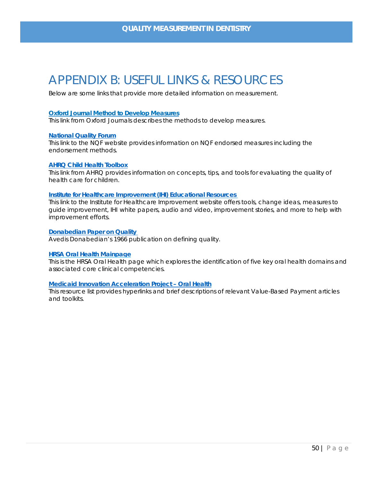### <span id="page-41-0"></span>APPENDIX B: USEFUL LINKS & RESOURCES

Below are some links that provide more detailed information on measurement.

#### **Oxford Journal Method to Develop [Measures](http://intqhc.oxfordjournals.org/content/15/suppl_1/i5.full)**

*This link from Oxford Journals describes the methods to develop measures*.

#### **[National Quality Forum](https://www.qualityforum.org/Home.aspx)**

*This link to the NQF website provides information on NQF endorsed measures including the endorsement methods.*

#### **[AHRQ Child Health Toolbox](http://www.ahrq.gov/professionals/quality-patient-safety/quality-resources/tools/chtoolbx/develop/index.html)**

*This link from AHRQ provides information on concepts, tips, and tools for evaluating the quality of health care for children.* 

#### **Institute for Healthcare Improvement [\(IHI\) Educational](http://www.ihi.org/resources/Pages/default.aspx) Resources**

*This link to the Institute for Healthcare Improvement website offers tools, change ideas, measures to guide improvement, IHI white papers, audio and video, improvement stories, and more to help with improvement efforts.*

#### **[Donabedian Paper on Quality](https://www.ncbi.nlm.nih.gov/pmc/articles/PMC2690293/)**

*Avedis Donabedian's 1966 publication on defining quality.*

#### **[HRSA Oral Health Mainpage](https://www.hrsa.gov/oral-health/index.html)**

*This is the HRSA Oral Health page which explores the identification of five key oral health domains and associated core clinical competencies.*

#### **[Medicaid Innovation Acceleration Project – Oral Health](https://www.medicaid.gov/state-resource-center/innovation-accelerator-program/iap-downloads/functional-areas/vbp-oral-health-resource-list.pdf)**

*This resource list provides hyperlinks and brief descriptions of relevant Value-Based Payment articles and toolkits.*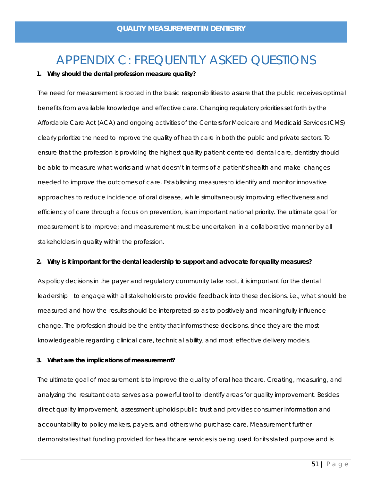# APPENDIX C: FREQUENTLY ASKED QUESTIONS

#### <span id="page-42-0"></span>**1. Why should the dental profession measure quality?**

The need for measurement is rooted in the basic responsibilities to assure that the public receives optimal benefits from available knowledge and effective care. Changing regulatory priorities set forth by the Affordable Care Act (ACA) and ongoing activities of the Centers for Medicare and Medicaid Services (CMS) clearly prioritize the need to improve the quality of health care in both the public and private sectors. To ensure that the profession is providing the highest quality patient-centered dental care, dentistry should be able to measure what works and what doesn't in terms of a patient's health and make changes needed to improve the outcomes of care. Establishing measures to identify and monitor innovative approaches to reduce incidence of oral disease, while simultaneously improving effectiveness and efficiency of care through a focus on prevention, is an important national priority. The ultimate goal for measurement is to improve; and measurement must be undertaken in a collaborative manner by all stakeholders in quality within the profession.

#### **2. Why is it important for the dental leadership to support and advocate for quality measures?**

As policy decisions in the payer and regulatory community take root, it is important for the dental leadership to engage with all stakeholders to provide feedback into these decisions, i.e., what should be measured and how the results should be interpreted so as to positively and meaningfully influence change. The profession should be the entity that informs these decisions, since they are the most knowledgeable regarding clinical care, technical ability, and most effective delivery models.

#### **3. What are the implications of measurement?**

The ultimate goal of measurement is to improve the quality of oral healthcare. Creating, measuring, and analyzing the resultant data serves as a powerful tool to identify areas for quality improvement. Besides direct quality improvement, assessment upholds public trust and provides consumer information and accountability to policy makers, payers, and others who purchase care. Measurement further demonstrates that funding provided for healthcare services is being used for its stated purpose and is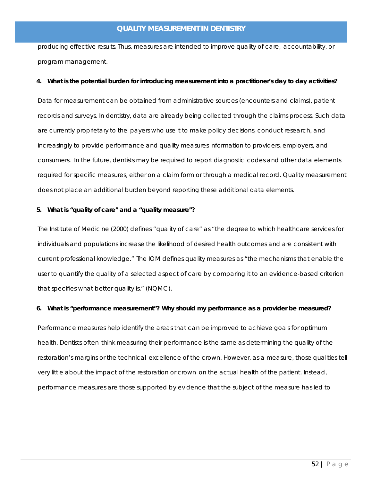producing effective results. Thus, measures are intended to improve quality of care, accountability, or program management.

#### **4. What is the potential burden for introducing measurement into a practitioner's day to day activities?**

Data for measurement can be obtained from administrative sources (encounters and claims), patient records and surveys. In dentistry, data are already being collected through the claims process. Such data are currently proprietary to the payers who use it to make policy decisions, conduct research, and increasingly to provide performance and quality measures information to providers, employers, and consumers. In the future, dentists may be required to report diagnostic codes and other data elements required for specific measures, either on a claim form or through a medical record. Quality measurement does not place an additional burden beyond reporting these additional data elements.

#### **5. What is "quality of care" and a "quality measure"?**

The Institute of Medicine (2000) defines "quality of care" as "the degree to which healthcare services for individuals and populations increase the likelihood of desired health outcomes and are consistent with current professional knowledge." The IOM defines quality measures as "the mechanisms that enable the user to quantify the quality of a selected aspect of care by comparing it to an evidence-based criterion that specifies what better quality is." (NQMC).

#### **6. What is "performance measurement"? Why should my performance as a provider be measured?**

Performance measures help identify the areas that can be improved to achieve goals for optimum health. Dentists often think measuring their performance is the same as determining the quality of the restoration's margins or the technical excellence of the crown. However, as a measure, those qualities tell very little about the impact of the restoration or crown on the actual health of the patient. Instead, performance measures are those supported by evidence that the subject of the measure has led to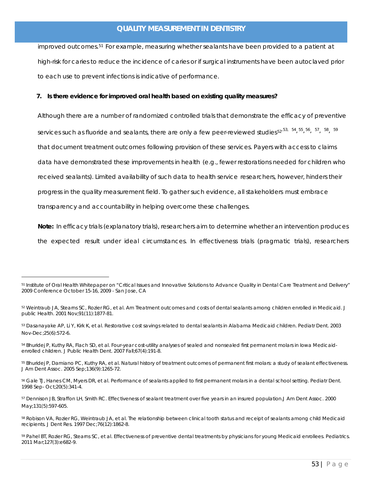improved outcomes.[51](#page-44-0) For example, measuring whether sealants have been provided to a patient at high-risk for caries to reduce the incidence of caries or if surgical instruments have been autoclaved prior to each use to prevent infections is indicative of performance.

#### **7. Is there evidence for improved oral health based on existing quality measures?**

Although there are a number of randomized controlled trials that demonstrate the efficacy of preventive services such as fluoride and sealants, there are only a few peer-reviewed studies<sup>[52](#page-44-1),[53](#page-44-2), [54](#page-44-3)</sup>, <sup>55</sup>, <sup>[56](#page-44-5)</sup>, <sup>[57](#page-44-6)</sup>, <sup>58</sup>, <sup>[59](#page-44-8)</sup> that document treatment outcomes following provision of these services. Payers with access to claims data have demonstrated these improvements in health (e.g., fewer restorations needed for children who received sealants). Limited availability of such data to health service researchers, however, hinders their progress in the quality measurement field. To gather such evidence, all stakeholders must embrace transparency and accountability in helping overcome these challenges.

**Note:** In efficacy trials (explanatory trials), researchers aim to determine whether an intervention produces the expected result under ideal circumstances. In effectiveness trials (pragmatic trials), researchers

<span id="page-44-0"></span><sup>&</sup>lt;sup>51</sup> Institute of Oral Health Whitepaper on "Critical Issues and Innovative Solutions to Advance Quality in Dental Care Treatment and Delivery" 2009 Conference October 15-16, 2009 - San Jose, CA

<span id="page-44-1"></span><sup>52</sup> Weintraub JA, Stearns SC, Rozier RG, et al. Am Treatment outcomes and costs of dental sealants among children enrolled in Medicaid. J public Health. 2001 Nov;91(11):1877-81.

<span id="page-44-2"></span><sup>53</sup> Dasanayake AP, Li Y, Kirk K, et al. Restorative cost savings related to dental sealants in Alabama Medicaid children. Pediatr Dent. 2003 Nov-Dec;25(6):572-6.

<span id="page-44-3"></span><sup>54</sup> Bhuridej P, Kuthy RA, Flach SD, et al. Four-year cost-utility analyses of sealed and nonsealed first permanent molars in Iowa Medicaidenrolled children. J Public Health Dent. 2007 Fall;67(4):191-8.

<span id="page-44-4"></span><sup>55</sup> Bhuridej P, Damiano PC, Kuthy RA, et al. Natural history of treatment outcomes of permanent first molars: a study of sealant effectiveness. J Am Dent Assoc. 2005 Sep;136(9):1265-72.

<span id="page-44-5"></span><sup>56</sup> Gale TJ, Hanes CM, Myers DR, et al. Performance of sealants applied to first permanent molars in a dental school setting. Pediatr Dent. 1998 Sep- Oct;20(5):341-4.

<span id="page-44-6"></span><sup>57</sup> Dennison JB, Straffon LH, Smith RC. Effectiveness of sealant treatment over five years in an insured population.J Am Dent Assoc. 2000 May;131(5):597-605.

<span id="page-44-7"></span><sup>58</sup> Robison VA, Rozier RG, Weintraub JA, et al. The relationship between clinical tooth status and receipt of sealants among child Medicaid recipients. J Dent Res. 1997 Dec;76(12):1862-8.

<span id="page-44-8"></span><sup>59</sup> Pahel BT, Rozier RG, Stearns SC, et al. Effectiveness of preventive dental treatments by physicians for young Medicaid enrollees. Pediatrics. 2011 Mar;127(3):e682-9.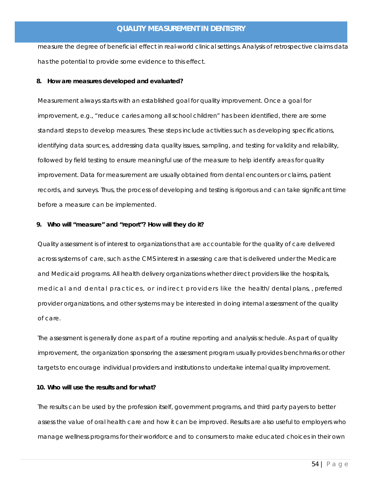measure the degree of beneficial effect in real-world clinical settings. Analysis of retrospective claims data has the potential to provide some evidence to this effect.

#### **8. How are measures developed and evaluated?**

Measurement always starts with an established goal for quality improvement. Once a goal for improvement, e.g., "reduce caries among all school children" has been identified, there are some standard steps to develop measures. These steps include activities such as developing specifications, identifying data sources, addressing data quality issues, sampling, and testing for validity and reliability, followed by field testing to ensure meaningful use of the measure to help identify areas for quality improvement. Data for measurement are usually obtained from dental encounters or claims, patient records, and surveys. Thus, the process of developing and testing is rigorous and can take significant time before a measure can be implemented.

#### **9. Who will "measure" and "report"? How will they do it?**

Quality assessment is of interest to organizations that are accountable for the quality of care delivered across systems of care, such as the CMS interest in assessing care that is delivered under the Medicare and Medicaid programs. All health delivery organizations whether direct providers like the hospitals, medical and dental practices, or indirect providers like the health/ dental plans, , preferred provider organizations, and other systems may be interested in doing internal assessment of the quality of care.

The assessment is generally done as part of a routine reporting and analysis schedule. As part of quality improvement, the organization sponsoring the assessment program usually provides benchmarks or other targets to encourage individual providers and institutions to undertake internal quality improvement.

#### **10. Who will use the results and for what?**

The results can be used by the profession itself, government programs, and third party payers to better assess the value of oral health care and how it can be improved. Results are also useful to employers who manage wellness programs for their workforce and to consumers to make educated choices in their own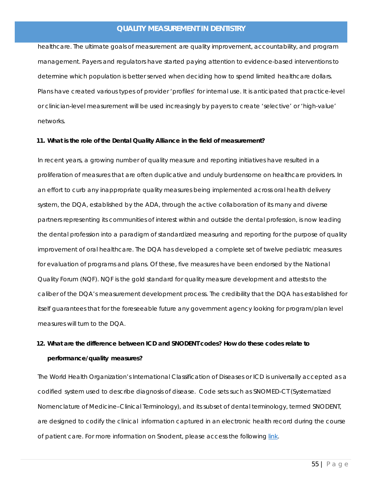healthcare. The ultimate goals of measurement are quality improvement, accountability, and program management. Payers and regulators have started paying attention to evidence-based interventions to determine which population is better served when deciding how to spend limited healthcare dollars. Plans have created various types of provider 'profiles' for internal use. It is anticipated that practice-level or clinician-level measurement will be used increasingly by payers to create 'selective' or 'high-value' networks.

#### **11. What is the role of the Dental Quality Alliance in the field of measurement?**

In recent years, a growing number of quality measure and reporting initiatives have resulted in a proliferation of measures that are often duplicative and unduly burdensome on healthcare providers. In an effort to curb any inappropriate quality measures being implemented across oral health delivery system, the DQA, established by the ADA, through the active collaboration of its many and diverse partners representing its communities of interest within and outside the dental profession, is now leading the dental profession into a paradigm of standardized measuring and reporting for the purpose of quality improvement of oral healthcare. The DQA has developed a complete set of twelve pediatric measures for evaluation of programs and plans. Of these, five measures have been endorsed by the National Quality Forum (NQF). NQF is the gold standard for quality measure development and attests to the caliber of the DQA's measurement development process. The credibility that the DQA has established for itself guarantees that for the foreseeable future any government agency looking for program/plan level measures will turn to the DQA.

### **12. What are the difference between ICD and SNODENT codes? How do these codes relate to performance/quality measures?**

The World Health Organization's International Classification of Diseases or ICD is universally accepted as a codified system used to describe diagnosis of disease. Code sets such as SNOMED-CT (Systematized Nomenclature of Medicine–Clinical Terminology), and its subset of dental terminology, termed SNODENT, are designed to codify the clinical information captured in an electronic health record during the course of patient care. For more information on Snodent, please access the following [link.](https://www.ada.org/en/member-center/member-benefits/practice-resources/dental-informatics/snodent)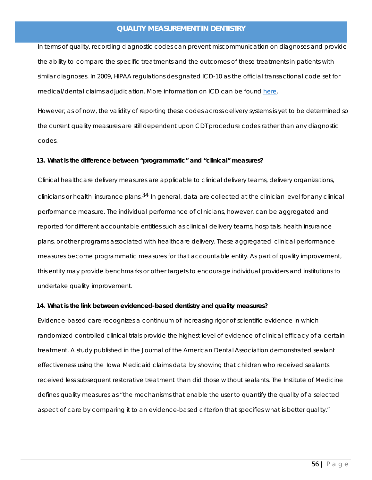In terms of quality, recording diagnostic codes can prevent miscommunication on diagnoses and provide the ability to compare the specific treatments and the outcomes of these treatments in patients with similar diagnoses. In 2009, HIPAA regulations designated ICD-10 as the official transactional code set for medical/dental claims adjudication. More information on ICD can be found [here.](https://www.who.int/classifications/icd/en/)

However, as of now, the validity of reporting these codes across delivery systems is yet to be determined so the current quality measures are still dependent upon CDT procedure codes rather than any diagnostic codes.

#### **13. What is the difference between "programmatic" and "clinical" measures?**

Clinical healthcare delivery measures are applicable to clinical delivery teams, delivery organizations, clinicians or health insurance plans.<sup>34</sup> In general, data are collected at the clinician level for any clinical performance measure. The individual performance of clinicians, however, can be aggregated and reported for different accountable entities such as clinical delivery teams, hospitals, health insurance plans, or other programs associated with healthcare delivery. These aggregated clinical performance measures become programmatic measures for that accountable entity. As part of quality improvement, this entity may provide benchmarks or other targets to encourage individual providers and institutions to undertake quality improvement.

#### **14. What is the link between evidenced-based dentistry and quality measures?**

Evidence-based care recognizes a continuum of increasing rigor of scientific evidence in which randomized controlled clinical trials provide the highest level of evidence of clinical efficacy of a certain treatment. A study published in the Journal of the American Dental Association demonstrated sealant effectiveness using the Iowa Medicaid claims data by showing that children who received sealants received less subsequent restorative treatment than did those without sealants. The Institute of Medicine defines quality measures as "the mechanisms that enable the user to quantify the quality of a selected aspect of care by comparing it to an evidence-based criterion that specifies what is better quality."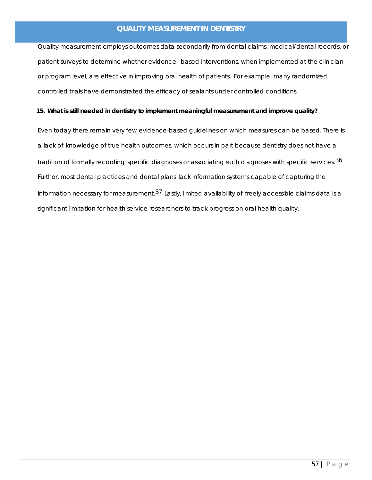Quality measurement employs outcomes data secondarily from dental claims, medical/dental records, or patient surveys to determine whether evidence- based interventions, when implemented at the clinician or program level, are effective in improving oral health of patients. For example, many randomized controlled trials have demonstrated the efficacy of sealants under controlled conditions.

#### **15. What is still needed in dentistry to implement meaningful measurement and improve quality?**

Even today there remain very few evidence-based guidelines on which measures can be based. There is a lack of knowledge of true health outcomes, which occurs in part because dentistry does not have a tradition of formally recording specific diagnoses or associating such diagnoses with specific services.<sup>36</sup> Further, most dental practices and dental plans lack information systems capable of capturing the information necessary for measurement.<sup>37</sup> Lastly, limited availability of freely accessible claims data is a significant limitation for health service researchers to track progress on oral health quality.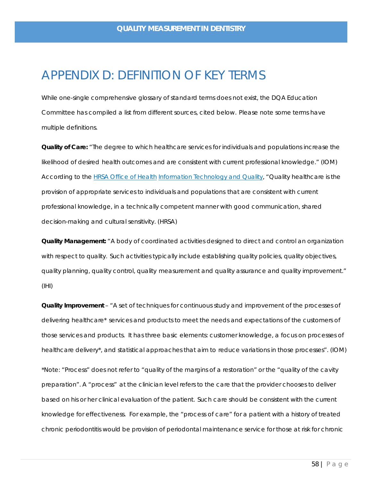### <span id="page-49-0"></span>APPENDIX D: DEFINITION OF KEY TERMS

While one-single comprehensive glossary of standard terms does not exist, the DQA Education Committee has compiled a list from different sources, cited below. Please note some terms have multiple definitions.

**Quality of Care:** "The degree to which healthcare services for individuals and populations increase the likelihood of desired health outcomes and are consistent with current professional knowledge." (IOM) According to the HRSA [Office of](http://www.hrsa.gov/quality/) Health Information Technology and Quality, "Quality healthcare is the provision of appropriate services to individuals and populations that are consistent with current professional knowledge, in a technically competent manner with good communication, shared decision-making and cultural sensitivity. (HRSA)

**Quality Management:** "A body of coordinated activities designed to direct and control an organization with respect to quality. Such activities typically include establishing quality policies, quality objectives, quality planning, quality control, quality measurement and quality assurance and quality improvement." (IHI)

**Quality Improvement** – "A set of techniques for continuous study and improvement of the processes of delivering healthcare\* services and products to meet the needs and expectations of the customers of those services and products. It has three basic elements: customer knowledge, a focus on processes of healthcare delivery\*, and statistical approaches that aim to reduce variations in those processes". (IOM)

*\*Note: "Process" does not refer to "quality of the margins of a restoration" or the "quality of the cavity preparation". A "process" at the clinician level refers to the care that the provider chooses to deliver based on his or her clinical evaluation of the patient. Such care should be consistent with the current knowledge for effectiveness. For example, the "process of care" for a patient with a history of treated chronic periodontitis would be provision of periodontal maintenance service for those at risk for chronic*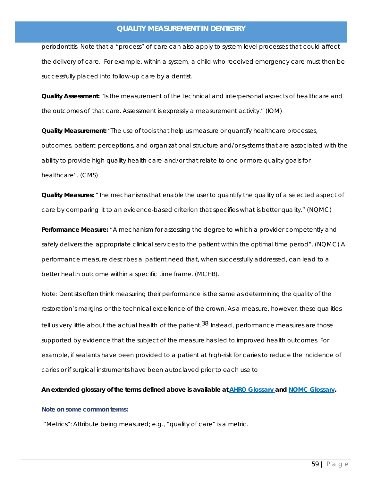*periodontitis. Note that a "process" of care can also apply to system level processes that could affect the delivery of care. For example, within a system, a child who received emergency care must then be successfully placed into follow-up care by a dentist.*

**Quality Assessment:** "Is the measurement of the technical and interpersonal aspects of healthcare and the outcomes of that care. Assessment is expressly a measurement activity." (IOM)

**Quality Measurement:** "The use of tools that help us measure or quantify healthcare processes, outcomes, patient perceptions, and organizational structure and/or systems that are associated with the ability to provide high-quality health-care and/or that relate to one or more quality goals for healthcare". (CMS)

**Quality Measures:** "The mechanisms that enable the user to quantify the quality of a selected aspect of care by comparing it to an evidence-based criterion that specifies what is better quality." (NQMC)

**Performance Measure:** "A mechanism for assessing the degree to which a provider competently and safely delivers the appropriate clinical services to the patient within the optimal time period". (NQMC) A performance measure describes a patient need that, when successfully addressed, can lead to a better health outcome within a specific time frame. (MCHB).

*Note: Dentists often think measuring their performance is the same as determining the quality of the restoration's margins or the technical excellence of the crown. As a measure, however, these qualities tell us very little about the actual health of the patient.38 Instead, performance measures are those supported by evidence that the subject of the measure has led to improved health outcomes. For example, if sealants have been provided to a patient at high-risk for caries to reduce the incidence of caries or if surgical instruments have been autoclaved prior to each use to*

**An extended glossary of the terms defined above is available at [AHRQ Glossary](https://www.ahrq.gov/patients-consumers/patient-involvement/ask-your-doctor/tips-and-tools/glossary.html) and NQMC [Glossary.](https://www.ahrq.gov/gam/index.html#public)** 

#### <span id="page-50-0"></span>**Note on some common terms:**

"Metrics": Attribute being measured; e.g., "quality of care" is a metric.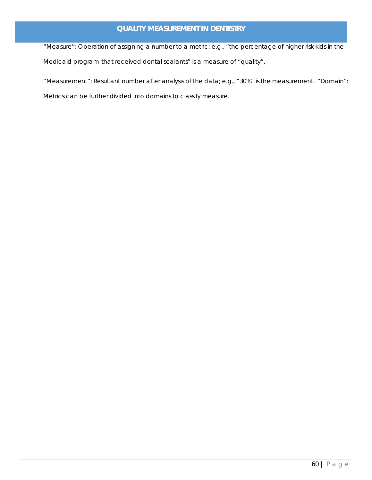"Measure": Operation of assigning a number to a metric; e.g., "the percentage of higher risk kids in the Medicaid program that received dental sealants" is a measure of "quality".

"Measurement": Resultant number after analysis of the data; e.g., "30%" is the measurement. "Domain": Metrics can be further divided into domains to classify measure.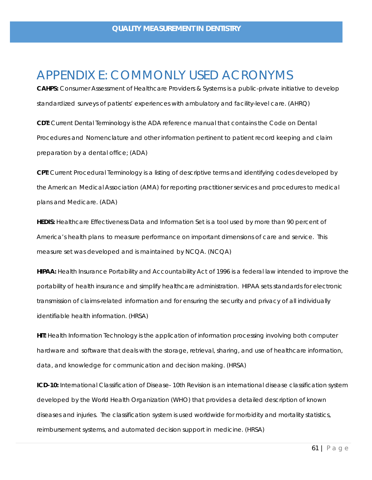### <span id="page-52-0"></span>APPENDIX E: COMMONLY USED ACRONYMS

**CAHPS:** Consumer Assessment of Healthcare Providers & Systems is a public-private initiative to develop standardized surveys of patients' experiences with ambulatory and facility-level care. (AHRQ)

**CDT:** Current Dental Terminology is the ADA reference manual that contains the Code on Dental Procedures and Nomenclature and other information pertinent to patient record keeping and claim preparation by a dental office; (ADA)

**CPT:** Current Procedural Terminology is a listing of descriptive terms and identifying codes developed by the American Medical Association (AMA) for reporting practitioner services and procedures to medical plans and Medicare. (ADA)

**HEDIS:** Healthcare Effectiveness Data and Information Set is a tool used by more than 90 percent of America's health plans to measure performance on important dimensions of care and service. This measure set was developed and is maintained by NCQA. (NCQA)

**HIPAA:** Health Insurance Portability and Accountability Act of 1996 is a federal law intended to improve the portability of health insurance and simplify healthcare administration. HIPAA sets standards for electronic transmission of claims-related information and for ensuring the security and privacy of all individually identifiable health information. (HRSA)

**HIT:** Health Information Technology is the application of information processing involving both computer hardware and software that deals with the storage, retrieval, sharing, and use of healthcare information, data, and knowledge for communication and decision making. (HRSA)

**ICD-10:** International Classification of Disease- 10th Revision is an international disease classification system developed by the World Health Organization (WHO) that provides a detailed description of known diseases and injuries. The classification system is used worldwide for morbidity and mortality statistics, reimbursement systems, and automated decision support in medicine. (HRSA)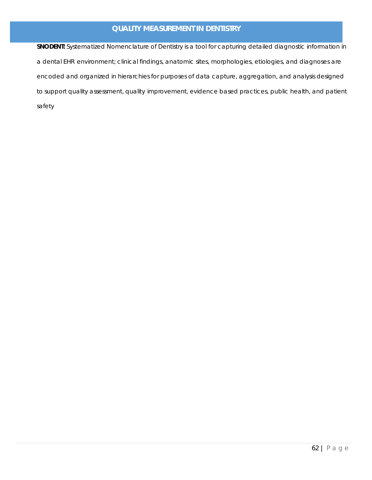**SNODENT:** Systematized Nomenclature of Dentistry is a tool for capturing detailed diagnostic information in a dental EHR environment; clinical findings, anatomic sites, morphologies, etiologies, and diagnoses are encoded and organized in hierarchies for purposes of data capture, aggregation, and analysis designed to support quality assessment, quality improvement, evidence based practices, public health, and patient safety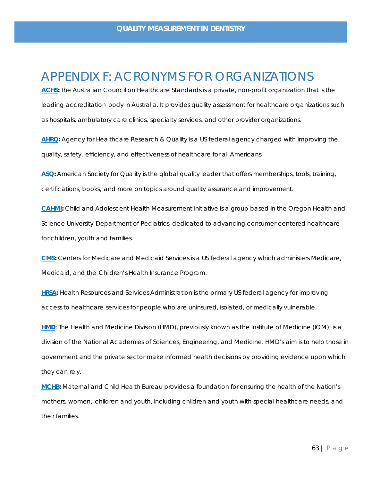### <span id="page-54-0"></span>APPENDIX F: ACRONYMS FOR ORGANIZATIONS

[ACHS:](https://www.achs.org.au/) The Australian Council on Healthcare Standards is a private, non-profit organization that is the leading accreditation body in Australia. It provides quality assessment for healthcare organizations such as hospitals, ambulatory care clinics, specialty services, and other provider organizations.

**[AHRQ:](http://www.ahrq.gov/)** Agency for Healthcare Research & Quality is a US federal agency charged with improving the quality, safety, efficiency, and effectiveness of healthcare for all Americans.

**[ASQ:](http://asq.org/index.aspx)** American Society for Quality is the global quality leader that offers memberships, tools, training, certifications, books, and more on topics around quality assurance and improvement.

**[CAHMI:](https://www.cahmi.org/)** Child and Adolescent Health Measurement Initiative is a group based in the Oregon Health and Science University Department of Pediatrics, dedicated to advancing consumer-centered healthcare for children, youth and families.

**[CMS:](http://www.cms.gov/)** Centers for Medicare and Medicaid Services is a US federal agency which administers Medicare, Medicaid, and the Children's Health Insurance Program.

**[HRSA:](http://www.healthcarecommunities.org/)** Health Resources and Services Administration is the primary US federal agency for improving access to healthcare services for people who are uninsured, isolated, or medically vulnerable.

**[HMD](http://www.nationalacademies.org/hmd/About-HMD.aspx)**: The Health and Medicine Division (HMD), previously known as the Institute of Medicine (IOM), is a division of the National Academies of Sciences, Engineering, and Medicine. HMD's aim is to help those in government and the private sector make informed health decisions by providing evidence upon which they can rely.

**[MCHB:](https://mchb.hrsa.gov/)** Maternal and Child Health Bureau provides a foundation for ensuring the health of the Nation's mothers, women, children and youth, including children and youth with special healthcare needs, and their families.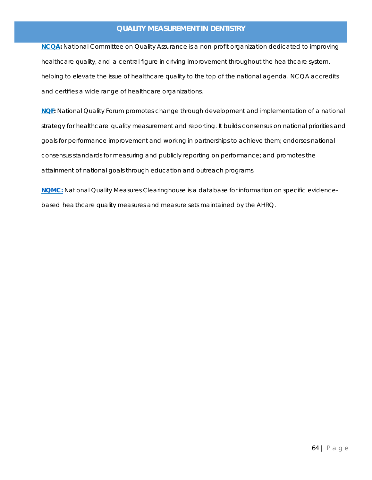**[NCQA:](http://www.ncqa.org/)** National Committee on Quality Assurance is a non-profit organization dedicated to improving healthcare quality, and a central figure in driving improvement throughout the healthcare system, helping to elevate the issue of healthcare quality to the top of the national agenda. NCQA accredits and certifies a wide range of healthcare organizations.

**[NQF:](http://www.qualityforum.org/About_NQF/About_NQF.aspx)** National Quality Forum promotes change through development and implementation of a national strategy for healthcare quality measurement and reporting. It builds consensus on national priorities and goals for performance improvement and working in partnerships to achieve them; endorses national consensus standards for measuring and publicly reporting on performance; and promotes the attainment of national goals through education and outreach programs.

**[NQMC:](https://www.ahrq.gov/gam/updates/index.html)** National Quality Measures Clearinghouse is a database for information on specific evidencebased healthcare quality measures and measure sets maintained by the AHRQ.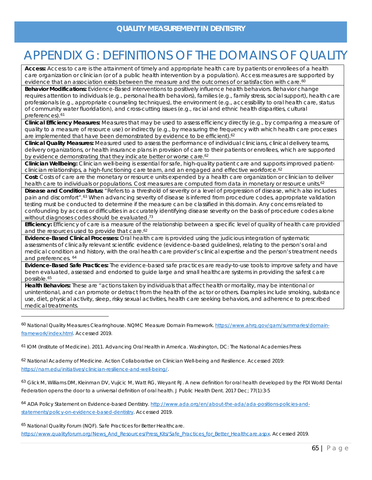# <span id="page-56-0"></span>APPENDIX G: DEFINITIONS OF THE DOMAINS OF QUALITY

**Access:** Access to care is the attainment of timely and appropriate health care by patients or enrollees of a health care organization or clinician (or of a public health intervention by a population). Access measures are supported by evidence that an association exists between the measure and the outcomes of or satisfaction with care.<sup>[60](#page-56-1)</sup>

**Behavior Modifications:** Evidence-Based interventions to positively influence health behaviors. Behavior change requires attention to individuals (e.g., personal health behaviors), families (e.g., family stress, social support), health care professionals (e.g., appropriate counseling techniques), the environment (e.g., accessibility to oral health care, status of community water fluoridation), and cross-cutting issues (e.g., racial and ethnic health disparities, cultural preferences).<sup>[61](#page-56-2)</sup>

**Clinical Efficiency Measures:** Measures that may be used to assess efficiency directly (e.g., by comparing a measure of quality to a measure of resource use) or indirectly (e.g., by measuring the frequency with which health care processes are implemented that have been demonstrated by evidence to be efficient).<sup>62</sup>

**Clinical Quality Measures:** Measured used to assess the performance of individual clinicians, clinical delivery teams, delivery organizations, or health insurance plans in provision of care to their patients or enrollees, which are supported by evidence demonstrating that they indicate better or worse care.<sup>62</sup>

**Clinician Wellbeing:** Clinician well-being is essential for safe, high-quality patient care and supports improved patient-clinician relationships, a high-functioning care team, and an engaged and effective workforce.<sup>[62](#page-56-3)</sup>

**Cost:** Costs of care are the monetary or resource units expended by a health care organization or clinician to deliver health care to individuals or populations. Cost measures are computed from data in monetary or resource units.<sup>62</sup>

**Disease and Condition Status:** "Refers to a threshold of severity or a level of progression of disease, which also includes pain and discomfort".[63](#page-56-4) When advancing severity of disease is inferred from procedure codes, appropriate validation testing must be conducted to determine if the measure can be classified in this domain. Any concerns related to confounding by access or difficulties in accurately identifying disease severity on the basis of procedure codes alone without diagnoses codes should be evaluated.<sup>73</sup>

**Efficiency:** Efficiency of care is a measure of the relationship between a specific level of quality of health care provided and the resources used to provide that care.<sup>62</sup>

**Evidence-Based Clinical Processes:** Oral health care is provided using the judicious integration of systematic assessments of clinically relevant scientific evidence (evidence-based guidelines), relating to the person's oral and medical condition and history, with the oral health care provider's clinical expertise and the person's treatment needs and preferences. [64](#page-56-5)

**Evidence-Based Safe Practices:** The evidence-based safe practices are ready-to-use tools to improve safety and have been evaluated, assessed and endorsed to guide large and small healthcare systems in providing the safest care possible.[65](#page-56-6)

**Health Behaviors:** These are "actions taken by individuals that affect health or mortality, may be intentional or unintentional, and can promote or detract from the health of the actor or others. Examples include smoking, substance use, diet, physical activity, sleep, risky sexual activities, health care seeking behaviors, and adherence to prescribed medical treatments.

<span id="page-56-1"></span><sup>60</sup> National Quality Measures Clearinghouse. NQMC Measure Domain Framework[. https://www.ahrq.gov/gam/summaries/domain](https://www.ahrq.gov/gam/summaries/domain-framework/index.html)[framework/index.html.](https://www.ahrq.gov/gam/summaries/domain-framework/index.html) Accessed 2019.

<span id="page-56-2"></span><sup>61</sup> IOM (Institute of Medicine). 2011. Advancing Oral Health in America. Washington, DC: The National Academies Press

<span id="page-56-3"></span><sup>62</sup> National Academy of Medicine. Action Collaborative on Clinician Well-being and Resilience. Accessed 2019: [https://nam.edu/initiatives/clinician-resilience-and-well-being/.](https://nam.edu/initiatives/clinician-resilience-and-well-being/)

<span id="page-56-4"></span><sup>63</sup> Glick M, Williams DM, Kleinman DV, Vujicic M, Watt RG, Weyant RJ. A new definition for oral health developed by the FDI World Dental Federation opens the door to a universal definition of oral health. J Public Health Dent. 2017 Dec; 77(1):3-5

<span id="page-56-5"></span><sup>64</sup> ADA Policy Statement on Evidence-based Dentistry. [http://www.ada.org/en/about-the-ada/ada-positions-policies-and](http://www.ada.org/en/about-the-ada/ada-positions-policies-and-statements/policy-on-evidence-based-dentistry)[statements/policy-on-evidence-based-dentistry.](http://www.ada.org/en/about-the-ada/ada-positions-policies-and-statements/policy-on-evidence-based-dentistry) Accessed 2019.

<span id="page-56-6"></span><sup>65</sup> National Quality Forum (NQF). Safe Practices for Better Healthcare.

[https://www.qualityforum.org/News\\_And\\_Resources/Press\\_Kits/Safe\\_Practices\\_for\\_Better\\_Healthcare.aspx.](https://www.qualityforum.org/News_And_Resources/Press_Kits/Safe_Practices_for_Better_Healthcare.aspx) Accessed 2019.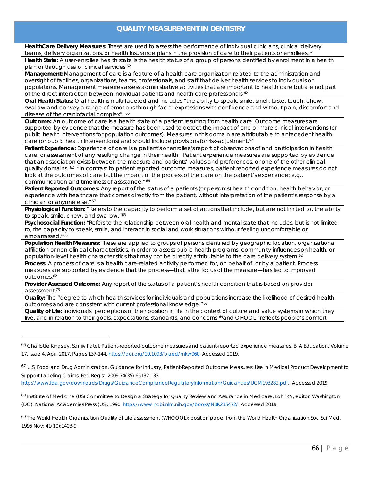**HealthCare Delivery Measures:** These are used to assess the performance of individual clinicians, clinical delivery teams, delivery organizations, or health insurance plans in the provision of care to their patients or enrollees.<sup>62</sup>

**Health State:** A user-enrollee health state is the health status of a group of persons identified by enrollment in a health plan or through use of clinical services.<sup>62</sup>

**Management:** Management of care is a feature of a health care organization related to the administration and oversight of facilities, organizations, teams, professionals, and staff that deliver health services to individuals or populations. Management measures assess administrative activities that are important to health care but are not part of the direct interaction between individual patients and health care professionals.<sup>62</sup>

**Oral Health Status:** Oral health is multi-faceted and includes "the ability to speak, smile, smell, taste, touch, chew, swallow and convey a range of emotions through facial expressions with confidence and without pain, discomfort and disease of the craniofacial complex". <sup>65</sup>

**Outcome:** An outcome of care is a health state of a patient resulting from health care. Outcome measures are supported by evidence that the measure has been used to detect the impact of one or more clinical interventions (or public health interventions for population outcomes). Measures in this domain are attributable to antecedent health care (or public health interventions) and should include provisions for risk-adjustment.<sup>62</sup>

**Patient Experience:** Experience of care is a patient's or enrollee's report of observations of and participation in health care, or assessment of any resulting change in their health. Patient experience measures are supported by evidence that an association exists between the measure and patients' values and preferences, or one of the other clinical quality domains. <sup>62</sup> "In contrast to patient reported outcome measures, patient reported experience measures do not look at the outcomes of care but the impact of the process of the care on the patient's experience; e.g., communication and timeliness of assistance." 66

**Patient Reported Outcomes:** Any report of the status of a patients (or person's) health condition, health behavior, or experience with healthcare that comes directly from the patient, without interpretation of the patient's response by a clinician or anyone else." 67

**Physiological Function:** "Refers to the capacity to perform a set of actions that include, but are not limited to, the ability to speak, smile, chew, and swallow."65

**Psychosocial Function: "**Refers to the relationship between oral health and mental state that includes, but is not limited to, the capacity to speak, smile, and interact in social and work situations without feeling uncomfortable or embarrassed."<sup>65</sup>

**Population Health Measures:** These are applied to groups of persons identified by geographic location, organizational affiliation or non-clinical characteristics, in order to assess public health programs, community influences on health, or population-level health characteristics that may not be directly attributable to the care delivery system.<sup>62</sup>

**Process:** A process of care is a health care-related activity performed for, on behalf of, or by a patient. Process measures are supported by evidence that the process—that is the focus of the measure—has led to improved outcomes.62

**Provider Assessed Outcome:** Any report of the status of a patient's health condition that is based on provider assessment.73

**Quality:** The "degree to which health services for individuals and populations increase the likelihood of desired health outcomes and are consistent with current professional knowledge."[68](#page-57-2)

**Quality of Life:** Individuals' perceptions of their position in life in the context of culture and value systems in which they live, and in relation to their goals, expectations, standards, and concerns [69a](#page-57-3)nd OHQOL "reflects people's comfort

[http://www.fda.gov/downloads/Drugs/GuidanceComplianceRegulatoryInformation/Guidances/UCM193282.pdf.](http://www.fda.gov/downloads/Drugs/GuidanceComplianceRegulatoryInformation/Guidances/UCM193282.pdf) Accessed 2019.

<span id="page-57-2"></span><sup>68</sup> Institute of Medicine (US) Committee to Design a Strategy for Quality Review and Assurance in Medicare; Lohr KN, editor. Washington (DC): National Academies Press (US); 1990[. https://www.ncbi.nlm.nih.gov/books/NBK235472/.](https://www.ncbi.nlm.nih.gov/books/NBK235472/) Accessed 2019.

<span id="page-57-3"></span><sup>69</sup> The World Health Organization Quality of Life assessment (WHOQOL): position paper from the World Health Organization.Soc Sci Med. 1995 Nov; 41(10):1403-9.

<span id="page-57-0"></span><sup>66</sup> Charlotte Kingsley, Sanjiv Patel, Patient-reported outcome measures and patient-reported experience measures, BJA Education, Volume 17, Issue 4, April 2017, Pages 137-144[, https://doi.org/10.1093/bjaed/mkw060.](https://doi.org/10.1093/bjaed/mkw060) Accessed 2019.

<span id="page-57-1"></span><sup>&</sup>lt;sup>67</sup> U.S. Food and Drug Administration, Guidance for Industry, Patient-Reported Outcome Measures: Use in Medical Product Development to Support Labeling Claims, Fed Regist. 2009;74(35):65132-133.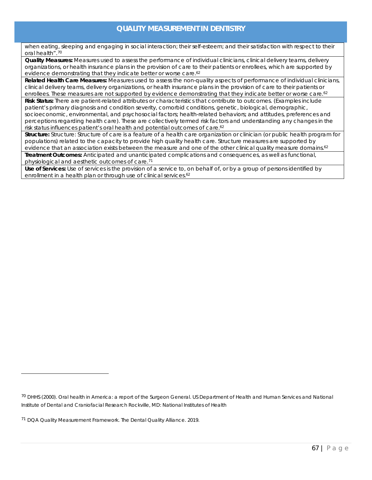when eating, sleeping and engaging in social interaction; their self-esteem; and their satisfaction with respect to their oral health".[70](#page-58-0)

**Quality Measures:** Measures used to assess the performance of individual clinicians, clinical delivery teams, delivery organizations, or [health insurance plans in the provision of care to th](#page-58-1)eir patients or enrollees, which are supported by evidence demonstrating that they indicate better or worse care.<sup>62</sup>

**Related Health Care Measures:** Measures used to assess the non-quality aspects of performance of individual clinicians, clinical delivery teams, delivery organizations, or health insurance plans in the provision of care to their patients or enrollees. These measures are not supported by evidence demonstrating that they indicate better or worse care.<sup>62</sup>

**Risk Status:** There are patient-related attributes or characteristics that contribute to outcomes. (Examples include patient's primary diagnosis and condition severity, comorbid conditions, genetic, biological, demographic, socioeconomic, environmental, and psychosocial factors; health-related behaviors; and attitudes, preferences and perceptions regarding health care). These are collectively termed risk factors and understanding any changes in the risk status influences patient's oral health and potential outcomes of care.<sup>62</sup>

**Structure:** Structure: Structure of care is a feature of a health care organization or clinician (or public health program for populations) related to the capacity to provide high quality health care. Structure measures are supported by evidence that an association exists between the measure and one of the other clinical quality measure domains.<sup>62</sup>

**Treatment Outcomes:** Anticipated and unanticipated complications and consequences, as well as functional, physiological and aesthetic outcomes of care.[71](#page-58-2)

**Use of Services:** Use of services is the provision of a service to, on behalf of, or by a group of persons identified by enrollment in a health plan or through use of clinical services.<sup>62</sup>

<span id="page-58-0"></span><sup>70</sup> DHHS (2000). Oral health in America: a report of the Surgeon General. US Department of Health and Human Services and National Institute of Dental and Craniofacial Research Rockville, MD: National Institutes of Health

<span id="page-58-2"></span><span id="page-58-1"></span><sup>71</sup> DQA Quality Measurement Framework. The Dental Quality Alliance. 2019.